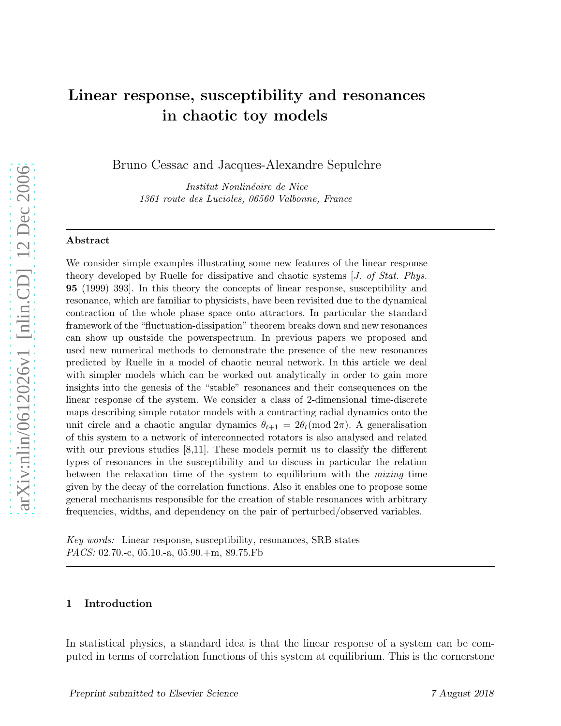# Linear response, susceptibility and resonances in chaotic toy models

Bruno Cessac and Jacques-Alexandre Sepulchre

Institut Nonlinéaire de Nice 1361 route des Lucioles, 06560 Valbonne, France

#### Abstract

We consider simple examples illustrating some new features of the linear response theory developed by Ruelle for dissipative and chaotic systems [J. of Stat. Phys. 95 (1999) 393]. In this theory the concepts of linear response, susceptibility and resonance, which are familiar to physicists, have been revisited due to the dynamical contraction of the whole phase space onto attractors. In particular the standard framework of the "fluctuation-dissipation" theorem breaks down and new resonances can show up oustside the powerspectrum. In previous papers we proposed and used new numerical methods to demonstrate the presence of the new resonances predicted by Ruelle in a model of chaotic neural network. In this article we deal with simpler models which can be worked out analytically in order to gain more insights into the genesis of the "stable" resonances and their consequences on the linear response of the system. We consider a class of 2-dimensional time-discrete maps describing simple rotator models with a contracting radial dynamics onto the unit circle and a chaotic angular dynamics  $\theta_{t+1} = 2\theta_t \pmod{2\pi}$ . A generalisation of this system to a network of interconnected rotators is also analysed and related with our previous studies [8,11]. These models permit us to classify the different types of resonances in the susceptibility and to discuss in particular the relation between the relaxation time of the system to equilibrium with the mixing time given by the decay of the correlation functions. Also it enables one to propose some general mechanisms responsible for the creation of stable resonances with arbitrary frequencies, widths, and dependency on the pair of perturbed/observed variables.

Key words: Linear response, susceptibility, resonances, SRB states PACS: 02.70.-c, 05.10.-a, 05.90.+m, 89.75.Fb

# 1 Introduction

In statistical physics, a standard idea is that the linear response of a system can be computed in terms of correlation functions of this system at equilibrium. This is the cornerstone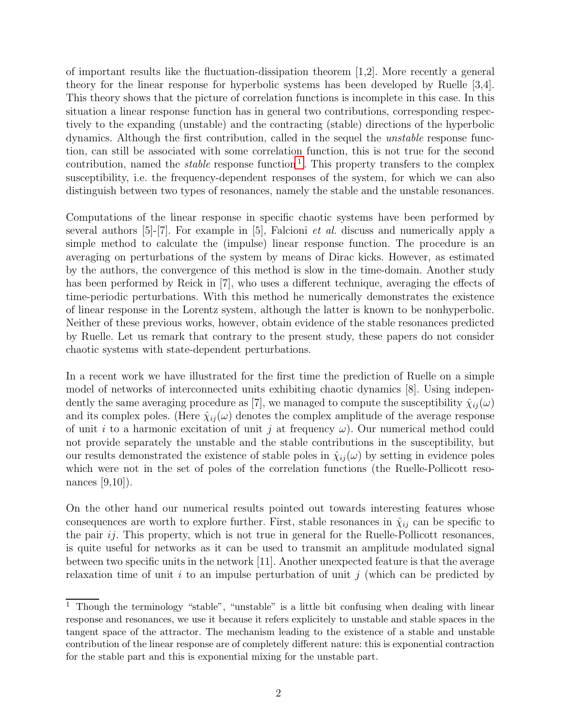of important results like the fluctuation-dissipation theorem [1,2]. More recently a general theory for the linear response for hyperbolic systems has been developed by Ruelle [3,4]. This theory shows that the picture of correlation functions is incomplete in this case. In this situation a linear response function has in general two contributions, corresponding respectively to the expanding (unstable) and the contracting (stable) directions of the hyperbolic dynamics. Although the first contribution, called in the sequel the unstable response function, can still be associated with some correlation function, this is not true for the second contribution, named the *stable* response function<sup>[1](#page-1-0)</sup>. This property transfers to the complex susceptibility, i.e. the frequency-dependent responses of the system, for which we can also distinguish between two types of resonances, namely the stable and the unstable resonances.

Computations of the linear response in specific chaotic systems have been performed by several authors  $[5]-[7]$ . For example in  $[5]$ , Falcioni *et al.* discuss and numerically apply a simple method to calculate the (impulse) linear response function. The procedure is an averaging on perturbations of the system by means of Dirac kicks. However, as estimated by the authors, the convergence of this method is slow in the time-domain. Another study has been performed by Reick in [7], who uses a different technique, averaging the effects of time-periodic perturbations. With this method he numerically demonstrates the existence of linear response in the Lorentz system, although the latter is known to be nonhyperbolic. Neither of these previous works, however, obtain evidence of the stable resonances predicted by Ruelle. Let us remark that contrary to the present study, these papers do not consider chaotic systems with state-dependent perturbations.

In a recent work we have illustrated for the first time the prediction of Ruelle on a simple model of networks of interconnected units exhibiting chaotic dynamics [8]. Using independently the same averaging procedure as [7], we managed to compute the susceptibility  $\hat{\chi}_{ij}(\omega)$ and its complex poles. (Here  $\hat{\chi}_{ij}(\omega)$  denotes the complex amplitude of the average response of unit i to a harmonic excitation of unit j at frequency  $\omega$ ). Our numerical method could not provide separately the unstable and the stable contributions in the susceptibility, but our results demonstrated the existence of stable poles in  $\hat{\chi}_{ij}(\omega)$  by setting in evidence poles which were not in the set of poles of the correlation functions (the Ruelle-Pollicott resonances [9,10]).

On the other hand our numerical results pointed out towards interesting features whose consequences are worth to explore further. First, stable resonances in  $\hat{\chi}_{ij}$  can be specific to the pair  $ij$ . This property, which is not true in general for the Ruelle-Pollicott resonances, is quite useful for networks as it can be used to transmit an amplitude modulated signal between two specific units in the network [11]. Another unexpected feature is that the average relaxation time of unit i to an impulse perturbation of unit j (which can be predicted by

<span id="page-1-0"></span><sup>&</sup>lt;sup>1</sup> Though the terminology "stable", "unstable" is a little bit confusing when dealing with linear response and resonances, we use it because it refers explicitely to unstable and stable spaces in the tangent space of the attractor. The mechanism leading to the existence of a stable and unstable contribution of the linear response are of completely different nature: this is exponential contraction for the stable part and this is exponential mixing for the unstable part.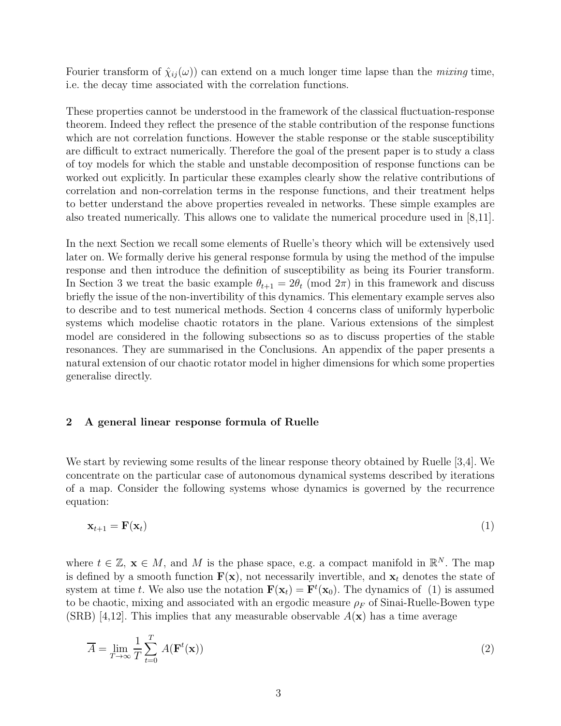Fourier transform of  $\hat{\chi}_{ij}(\omega)$  can extend on a much longer time lapse than the *mixing* time, i.e. the decay time associated with the correlation functions.

These properties cannot be understood in the framework of the classical fluctuation-response theorem. Indeed they reflect the presence of the stable contribution of the response functions which are not correlation functions. However the stable response or the stable susceptibility are difficult to extract numerically. Therefore the goal of the present paper is to study a class of toy models for which the stable and unstable decomposition of response functions can be worked out explicitly. In particular these examples clearly show the relative contributions of correlation and non-correlation terms in the response functions, and their treatment helps to better understand the above properties revealed in networks. These simple examples are also treated numerically. This allows one to validate the numerical procedure used in [8,11].

In the next Section we recall some elements of Ruelle's theory which will be extensively used later on. We formally derive his general response formula by using the method of the impulse response and then introduce the definition of susceptibility as being its Fourier transform. In Section 3 we treat the basic example  $\theta_{t+1} = 2\theta_t \pmod{2\pi}$  in this framework and discuss briefly the issue of the non-invertibility of this dynamics. This elementary example serves also to describe and to test numerical methods. Section 4 concerns class of uniformly hyperbolic systems which modelise chaotic rotators in the plane. Various extensions of the simplest model are considered in the following subsections so as to discuss properties of the stable resonances. They are summarised in the Conclusions. An appendix of the paper presents a natural extension of our chaotic rotator model in higher dimensions for which some properties generalise directly.

# 2 A general linear response formula of Ruelle

We start by reviewing some results of the linear response theory obtained by Ruelle [3,4]. We concentrate on the particular case of autonomous dynamical systems described by iterations of a map. Consider the following systems whose dynamics is governed by the recurrence equation:

$$
\mathbf{x}_{t+1} = \mathbf{F}(\mathbf{x}_t) \tag{1}
$$

where  $t \in \mathbb{Z}$ ,  $\mathbf{x} \in M$ , and M is the phase space, e.g. a compact manifold in  $\mathbb{R}^N$ . The map is defined by a smooth function  $F(x)$ , not necessarily invertible, and  $x_t$  denotes the state of system at time t. We also use the notation  $\mathbf{F}(\mathbf{x}_t) = \mathbf{F}^t(\mathbf{x}_0)$ . The dynamics of (1) is assumed to be chaotic, mixing and associated with an ergodic measure  $\rho_F$  of Sinai-Ruelle-Bowen type (SRB) [4,12]. This implies that any measurable observable  $A(\mathbf{x})$  has a time average

$$
\overline{A} = \lim_{T \to \infty} \frac{1}{T} \sum_{t=0}^{T} A(\mathbf{F}^t(\mathbf{x}))
$$
\n(2)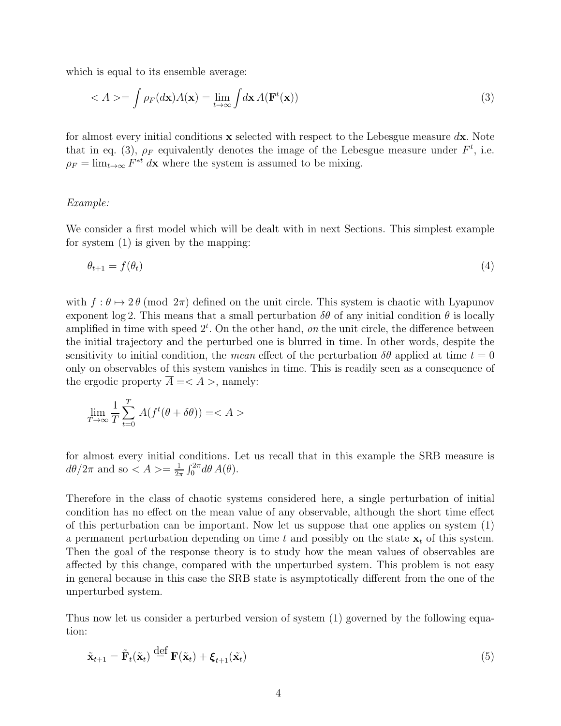which is equal to its ensemble average:

$$
\langle A \rangle = \int \rho_F(d\mathbf{x}) A(\mathbf{x}) = \lim_{t \to \infty} \int d\mathbf{x} A(\mathbf{F}^t(\mathbf{x})) \tag{3}
$$

for almost every initial conditions  $x$  selected with respect to the Lebesgue measure  $dx$ . Note that in eq. (3),  $\rho_F$  equivalently denotes the image of the Lebesgue measure under  $F^t$ , i.e.  $\rho_F = \lim_{t \to \infty} F^{*t}$  dx where the system is assumed to be mixing.

# Example:

We consider a first model which will be dealt with in next Sections. This simplest example for system (1) is given by the mapping:

$$
\theta_{t+1} = f(\theta_t) \tag{4}
$$

with  $f : \theta \mapsto 2\theta \pmod{2\pi}$  defined on the unit circle. This system is chaotic with Lyapunov exponent log 2. This means that a small perturbation  $\delta\theta$  of any initial condition  $\theta$  is locally amplified in time with speed  $2<sup>t</sup>$ . On the other hand, on the unit circle, the difference between the initial trajectory and the perturbed one is blurred in time. In other words, despite the sensitivity to initial condition, the mean effect of the perturbation  $\delta\theta$  applied at time  $t = 0$ only on observables of this system vanishes in time. This is readily seen as a consequence of the ergodic property  $A = \langle A \rangle$ , namely:

$$
\lim_{T \to \infty} \frac{1}{T} \sum_{t=0}^{T} A(f^t(\theta + \delta \theta)) = A >
$$

for almost every initial conditions. Let us recall that in this example the SRB measure is  $d\theta/2\pi$  and so  $\lt A \gt \approx \frac{1}{2\pi}$  $\frac{1}{2\pi} \int_0^{2\pi} d\theta A(\theta).$ 

Therefore in the class of chaotic systems considered here, a single perturbation of initial condition has no effect on the mean value of any observable, although the short time effect of this perturbation can be important. Now let us suppose that one applies on system (1) a permanent perturbation depending on time t and possibly on the state  $x_t$  of this system. Then the goal of the response theory is to study how the mean values of observables are affected by this change, compared with the unperturbed system. This problem is not easy in general because in this case the SRB state is asymptotically different from the one of the unperturbed system.

Thus now let us consider a perturbed version of system (1) governed by the following equation:

$$
\tilde{\mathbf{x}}_{t+1} = \tilde{\mathbf{F}}_t(\tilde{\mathbf{x}}_t) \stackrel{\text{def}}{=} \mathbf{F}(\tilde{\mathbf{x}}_t) + \boldsymbol{\xi}_{t+1}(\tilde{\mathbf{x}}_t)
$$
\n(5)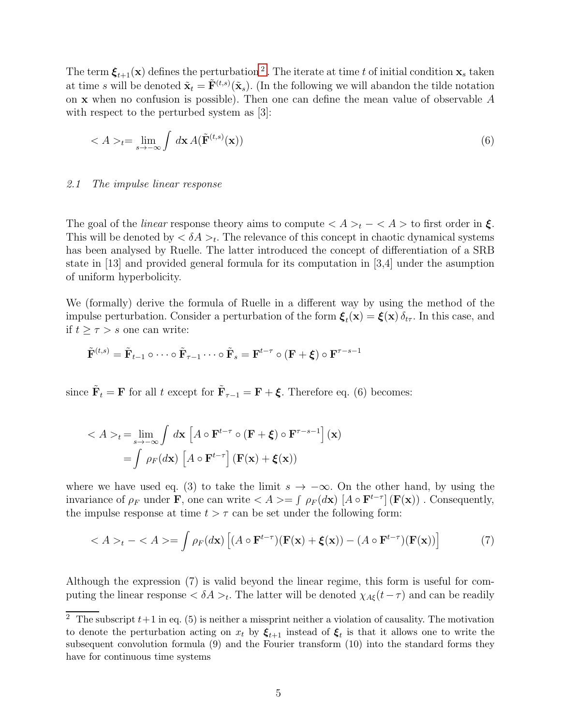The term  $\xi_{t+1}(\mathbf{x})$  defines the perturbation <sup>[2](#page-4-0)</sup>. The iterate at time t of initial condition  $\mathbf{x}_s$  taken at time s will be denoted  $\tilde{\mathbf{x}}_t = \tilde{\mathbf{F}}^{(t,s)}(\tilde{\mathbf{x}}_s)$ . (In the following we will abandon the tilde notation on  $x$  when no confusion is possible). Then one can define the mean value of observable  $A$ with respect to the perturbed system as [3]:

$$
\langle A \rangle_t = \lim_{s \to -\infty} \int d\mathbf{x} \, A(\tilde{\mathbf{F}}^{(t,s)}(\mathbf{x})) \tag{6}
$$

#### 2.1 The impulse linear response

The goal of the *linear* response theory aims to compute  $\langle A \rangle_t - \langle A \rangle$  to first order in  $\xi$ . This will be denoted by  $\langle \delta A \rangle_t$ . The relevance of this concept in chaotic dynamical systems has been analysed by Ruelle. The latter introduced the concept of differentiation of a SRB state in [13] and provided general formula for its computation in [3,4] under the asumption of uniform hyperbolicity.

We (formally) derive the formula of Ruelle in a different way by using the method of the impulse perturbation. Consider a perturbation of the form  $\xi_t(\mathbf{x}) = \xi(\mathbf{x}) \delta_{t\tau}$ . In this case, and if  $t \geq \tau > s$  one can write:

$$
\tilde{\mathbf{F}}^{(t,s)} = \tilde{\mathbf{F}}_{t-1} \circ \cdots \circ \tilde{\mathbf{F}}_{\tau-1} \cdots \circ \tilde{\mathbf{F}}_s = \mathbf{F}^{t-\tau} \circ (\mathbf{F} + \boldsymbol{\xi}) \circ \mathbf{F}^{\tau-s-1}
$$

since  $\tilde{\mathbf{F}}_t = \mathbf{F}$  for all t except for  $\tilde{\mathbf{F}}_{\tau-1} = \mathbf{F} + \boldsymbol{\xi}$ . Therefore eq. (6) becomes:

$$
\langle A \rangle_t = \lim_{s \to -\infty} \int d\mathbf{x} \left[ A \circ \mathbf{F}^{t-\tau} \circ (\mathbf{F} + \boldsymbol{\xi}) \circ \mathbf{F}^{\tau-s-1} \right] (\mathbf{x})
$$

$$
= \int \rho_F(d\mathbf{x}) \left[ A \circ \mathbf{F}^{t-\tau} \right] (\mathbf{F}(\mathbf{x}) + \boldsymbol{\xi}(\mathbf{x}))
$$

where we have used eq. (3) to take the limit  $s \to -\infty$ . On the other hand, by using the invariance of  $\rho_F$  under **F**, one can write  $\langle A \rangle = \int \rho_F(d\mathbf{x}) \left[ A \circ \mathbf{F}^{t-\tau} \right] (\mathbf{F}(\mathbf{x}))$ . Consequently, the impulse response at time  $t > \tau$  can be set under the following form:

$$
\langle A \rangle_t - \langle A \rangle = \int \rho_F(d\mathbf{x}) \left[ (A \circ \mathbf{F}^{t-\tau})(\mathbf{F}(\mathbf{x}) + \xi(\mathbf{x})) - (A \circ \mathbf{F}^{t-\tau})(\mathbf{F}(\mathbf{x})) \right] \tag{7}
$$

Although the expression (7) is valid beyond the linear regime, this form is useful for computing the linear response  $<\delta A>_t$ . The latter will be denoted  $\chi_{A\xi}(t-\tau)$  and can be readily

<span id="page-4-0"></span> $\overline{2}$  The subscript  $t+1$  in eq. (5) is neither a missprint neither a violation of causality. The motivation to denote the perturbation acting on  $x_t$  by  $\xi_{t+1}$  instead of  $\xi_t$  is that it allows one to write the subsequent convolution formula (9) and the Fourier transform (10) into the standard forms they have for continuous time systems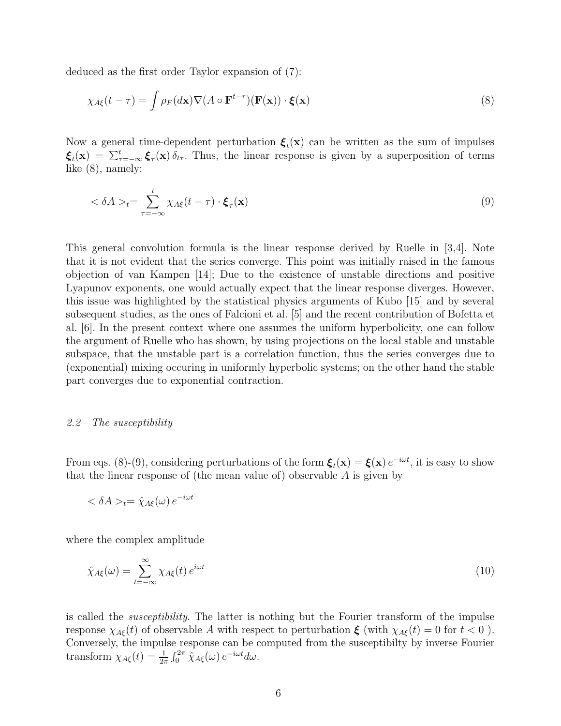deduced as the first order Taylor expansion of (7):

$$
\chi_{A\xi}(t-\tau) = \int \rho_F(d\mathbf{x}) \nabla (A \circ \mathbf{F}^{t-\tau})(\mathbf{F}(\mathbf{x})) \cdot \boldsymbol{\xi}(\mathbf{x})
$$
\n(8)

Now a general time-dependent perturbation  $\xi_t(\mathbf{x})$  can be written as the sum of impulses  $\xi_t(\mathbf{x}) = \sum_{\tau=-\infty}^t \xi_\tau(\mathbf{x}) \delta_{t\tau}$ . Thus, the linear response is given by a superposition of terms like (8), namely:

$$
\langle \delta A \rangle_t = \sum_{\tau = -\infty}^t \chi_{A\xi}(t - \tau) \cdot \boldsymbol{\xi}_{\tau}(\mathbf{x}) \tag{9}
$$

This general convolution formula is the linear response derived by Ruelle in [3,4]. Note that it is not evident that the series converge. This point was initially raised in the famous objection of van Kampen [14]; Due to the existence of unstable directions and positive Lyapunov exponents, one would actually expect that the linear response diverges. However, this issue was highlighted by the statistical physics arguments of Kubo [15] and by several subsequent studies, as the ones of Falcioni et al. [5] and the recent contribution of Bofetta et al. [6]. In the present context where one assumes the uniform hyperbolicity, one can follow the argument of Ruelle who has shown, by using projections on the local stable and unstable subspace, that the unstable part is a correlation function, thus the series converges due to (exponential) mixing occuring in uniformly hyperbolic systems; on the other hand the stable part converges due to exponential contraction.

#### 2.2 The susceptibility

From eqs. (8)-(9), considering perturbations of the form  $\xi_t(\mathbf{x}) = \xi(\mathbf{x}) e^{-i\omega t}$ , it is easy to show that the linear response of (the mean value of) observable  $A$  is given by

$$
\langle \delta A \rangle_t = \hat{\chi}_{A\xi}(\omega) e^{-i\omega t}
$$

where the complex amplitude

$$
\hat{\chi}_{A\xi}(\omega) = \sum_{t=-\infty}^{\infty} \chi_{A\xi}(t) e^{i\omega t}
$$
\n(10)

is called the *susceptibility*. The latter is nothing but the Fourier transform of the impulse response  $\chi_{A\xi}(t)$  of observable A with respect to perturbation  $\xi$  (with  $\chi_{A\xi}(t) = 0$  for  $t < 0$ ). Conversely, the impulse response can be computed from the susceptibilty by inverse Fourier transform  $\chi_{A\xi}(t) = \frac{1}{2\pi} \int_0^{2\pi} \hat{\chi}_{A\xi}(\omega) e^{-i\omega t} d\omega$ .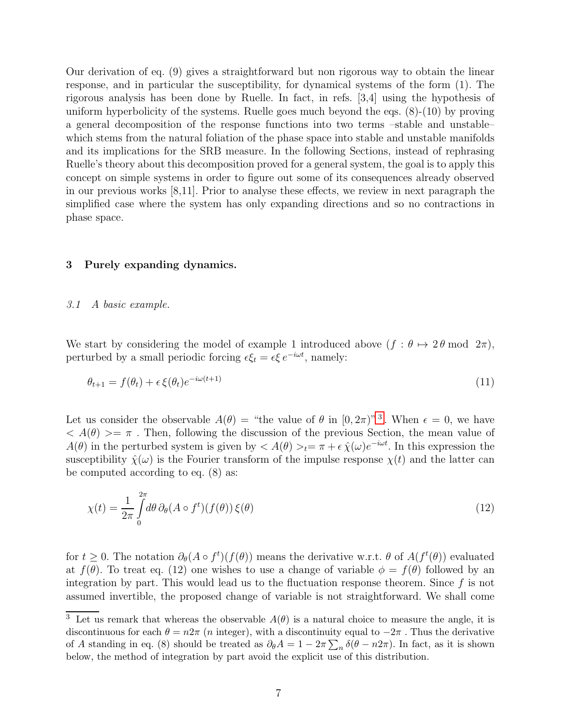Our derivation of eq. (9) gives a straightforward but non rigorous way to obtain the linear response, and in particular the susceptibility, for dynamical systems of the form (1). The rigorous analysis has been done by Ruelle. In fact, in refs. [3,4] using the hypothesis of uniform hyperbolicity of the systems. Ruelle goes much beyond the eqs. (8)-(10) by proving a general decomposition of the response functions into two terms –stable and unstable– which stems from the natural foliation of the phase space into stable and unstable manifolds and its implications for the SRB measure. In the following Sections, instead of rephrasing Ruelle's theory about this decomposition proved for a general system, the goal is to apply this concept on simple systems in order to figure out some of its consequences already observed in our previous works [8,11]. Prior to analyse these effects, we review in next paragraph the simplified case where the system has only expanding directions and so no contractions in phase space.

# 3 Purely expanding dynamics.

#### 3.1 A basic example.

We start by considering the model of example 1 introduced above  $(f : \theta \mapsto 2\theta \mod 2\pi)$ , perturbed by a small periodic forcing  $\epsilon \xi_t = \epsilon \xi e^{-i\omega t}$ , namely:

$$
\theta_{t+1} = f(\theta_t) + \epsilon \xi(\theta_t) e^{-i\omega(t+1)} \tag{11}
$$

Let us consider the observable  $A(\theta) =$  "the value of  $\theta$  in  $[0, 2\pi)$ " [3](#page-6-0). When  $\epsilon = 0$ , we have  $\langle A(\theta) \rangle = \pi$ . Then, following the discussion of the previous Section, the mean value of  $A(\theta)$  in the perturbed system is given by  $A(\theta) >_t = \pi + \epsilon \hat{\chi}(\omega)e^{-i\omega t}$ . In this expression the susceptibility  $\hat{\chi}(\omega)$  is the Fourier transform of the impulse response  $\chi(t)$  and the latter can be computed according to eq. (8) as:

$$
\chi(t) = \frac{1}{2\pi} \int_{0}^{2\pi} d\theta \, \partial_{\theta} (A \circ f^{t})(f(\theta)) \, \xi(\theta) \tag{12}
$$

for  $t \geq 0$ . The notation  $\partial_{\theta}(A \circ f^t)(f(\theta))$  means the derivative w.r.t.  $\theta$  of  $A(f^t(\theta))$  evaluated at  $f(\theta)$ . To treat eq. (12) one wishes to use a change of variable  $\phi = f(\theta)$  followed by an integration by part. This would lead us to the fluctuation response theorem. Since  $f$  is not assumed invertible, the proposed change of variable is not straightforward. We shall come

<span id="page-6-0"></span><sup>&</sup>lt;sup>3</sup> Let us remark that whereas the observable  $A(\theta)$  is a natural choice to measure the angle, it is discontinuous for each  $\theta = n2\pi$  (*n* integer), with a discontinuity equal to  $-2\pi$ . Thus the derivative of A standing in eq. (8) should be treated as  $\partial_{\theta}A = 1 - 2\pi \sum_{n} \delta(\theta - n2\pi)$ . In fact, as it is shown below, the method of integration by part avoid the explicit use of this distribution.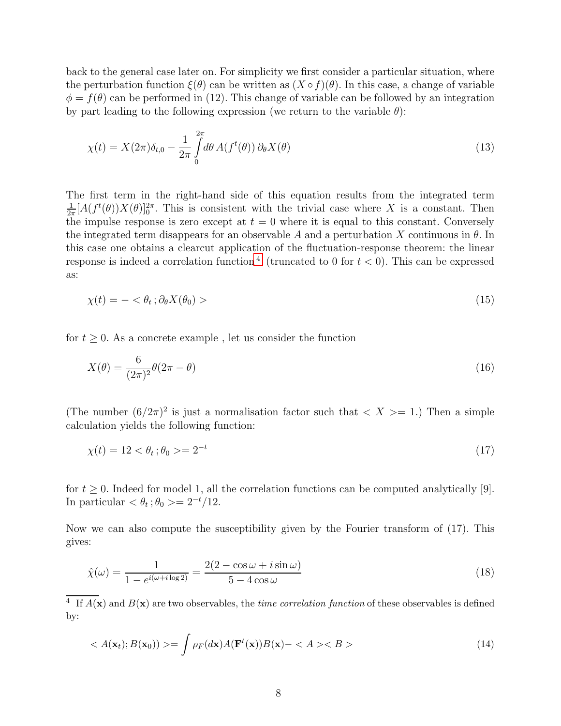back to the general case later on. For simplicity we first consider a particular situation, where the perturbation function  $\xi(\theta)$  can be written as  $(X \circ f)(\theta)$ . In this case, a change of variable  $\phi = f(\theta)$  can be performed in (12). This change of variable can be followed by an integration by part leading to the following expression (we return to the variable  $\theta$ ):

$$
\chi(t) = X(2\pi)\delta_{t,0} - \frac{1}{2\pi} \int_{0}^{2\pi} d\theta \, A(f^t(\theta)) \, \partial_{\theta} X(\theta) \tag{13}
$$

The first term in the right-hand side of this equation results from the integrated term 1  $\frac{1}{2\pi}[A(f^t(\theta))X(\theta)]_0^{2\pi}$ . This is consistent with the trivial case where X is a constant. Then the impulse response is zero except at  $t = 0$  where it is equal to this constant. Conversely the integrated term disappears for an observable A and a perturbation X continuous in  $\theta$ . In this case one obtains a clearcut application of the fluctuation-response theorem: the linear response is indeed a correlation function<sup>[4](#page-7-0)</sup> (truncated to 0 for  $t < 0$ ). This can be expressed as:

$$
\chi(t) = -\langle \theta_t \, ; \partial_\theta X(\theta_0) \rangle \tag{15}
$$

for  $t \geq 0$ . As a concrete example , let us consider the function

$$
X(\theta) = \frac{6}{(2\pi)^2} \theta(2\pi - \theta) \tag{16}
$$

(The number  $(6/2\pi)^2$  is just a normalisation factor such that  $\langle X \rangle = 1$ .) Then a simple calculation yields the following function:

$$
\chi(t) = 12 < \theta_t; \theta_0 > = 2^{-t} \tag{17}
$$

for  $t \geq 0$ . Indeed for model 1, all the correlation functions can be computed analytically [9]. In particular  $<\theta_t$ ;  $\theta_0 >= 2^{-t}/12$ .

Now we can also compute the susceptibility given by the Fourier transform of (17). This gives:

$$
\hat{\chi}(\omega) = \frac{1}{1 - e^{i(\omega + i\log 2)}} = \frac{2(2 - \cos\omega + i\sin\omega)}{5 - 4\cos\omega} \tag{18}
$$

<span id="page-7-0"></span><sup>4</sup> If  $A(x)$  and  $B(x)$  are two observables, the *time correlation function* of these observables is defined by:

$$
\langle A(\mathbf{x}_t); B(\mathbf{x}_0) \rangle \rangle = \int \rho_F(d\mathbf{x}) A(\mathbf{F}^t(\mathbf{x})) B(\mathbf{x}) - \langle A \rangle \langle B \rangle \tag{14}
$$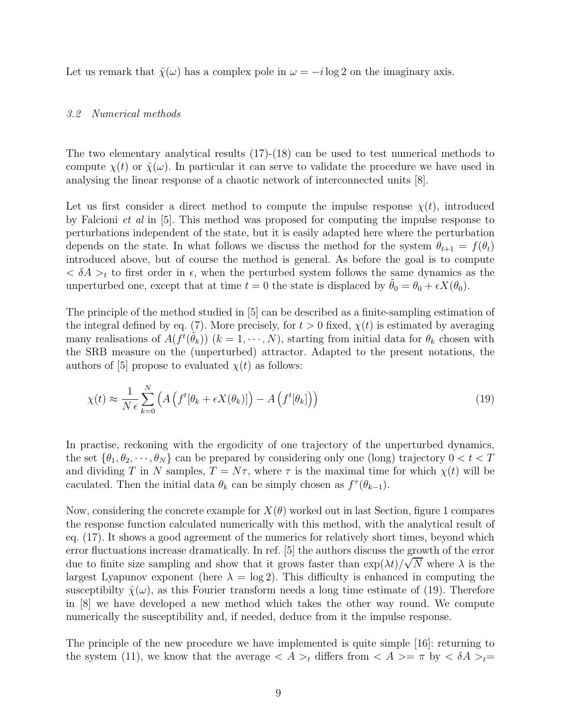Let us remark that  $\hat{\chi}(\omega)$  has a complex pole in  $\omega = -i \log 2$  on the imaginary axis.

# 3.2 Numerical methods

The two elementary analytical results (17)-(18) can be used to test numerical methods to compute  $\chi(t)$  or  $\hat{\chi}(\omega)$ . In particular it can serve to validate the procedure we have used in analysing the linear response of a chaotic network of interconnected units [8].

Let us first consider a direct method to compute the impulse response  $\chi(t)$ , introduced by Falcioni et al in [5]. This method was proposed for computing the impulse response to perturbations independent of the state, but it is easily adapted here where the perturbation depends on the state. In what follows we discuss the method for the system  $\theta_{t+1} = f(\theta_t)$ introduced above, but of course the method is general. As before the goal is to compute  $<\delta A>_{t}$  to first order in  $\epsilon$ , when the perturbed system follows the same dynamics as the unperturbed one, except that at time  $t = 0$  the state is displaced by  $\hat{\theta}_0 = \theta_0 + \epsilon X(\theta_0)$ .

The principle of the method studied in [5] can be described as a finite-sampling estimation of the integral defined by eq. (7). More precisely, for  $t > 0$  fixed,  $\chi(t)$  is estimated by averaging many realisations of  $A(f^t(\tilde{\theta}_k))$   $(k = 1, \dots, N)$ , starting from initial data for  $\theta_k$  chosen with the SRB measure on the (unperturbed) attractor. Adapted to the present notations, the authors of [5] propose to evaluated  $\chi(t)$  as follows:

$$
\chi(t) \approx \frac{1}{N \epsilon} \sum_{k=0}^{N} \left( A \left( f^{t}[\theta_{k} + \epsilon X(\theta_{k})] \right) - A \left( f^{t}[\theta_{k}] \right) \right) \tag{19}
$$

In practise, reckoning with the ergodicity of one trajectory of the unperturbed dynamics, the set  $\{\theta_1, \theta_2, \dots, \theta_N\}$  can be prepared by considering only one (long) trajectory  $0 < t < T$ and dividing T in N samples,  $T = N\tau$ , where  $\tau$  is the maximal time for which  $\chi(t)$  will be caculated. Then the initial data  $\theta_k$  can be simply chosen as  $f^{\tau}(\theta_{k-1})$ .

Now, considering the concrete example for  $X(\theta)$  worked out in last Section, figure 1 compares the response function calculated numerically with this method, with the analytical result of eq. (17). It shows a good agreement of the numerics for relatively short times, beyond which error fluctuations increase dramatically. In ref. [5] the authors discuss the growth of the error due to finite size sampling and show that it grows faster than  $\exp(\lambda t)/\sqrt{N}$  where  $\lambda$  is the largest Lyapunov exponent (here  $\lambda = \log 2$ ). This difficulty is enhanced in computing the susceptibilty  $\hat{\chi}(\omega)$ , as this Fourier transform needs a long time estimate of (19). Therefore in [8] we have developed a new method which takes the other way round. We compute numerically the susceptibility and, if needed, deduce from it the impulse response.

The principle of the new procedure we have implemented is quite simple [16]: returning to the system (11), we know that the average  $\langle A \rangle_t$  differs from  $\langle A \rangle = \pi$  by  $\langle \delta A \rangle_t =$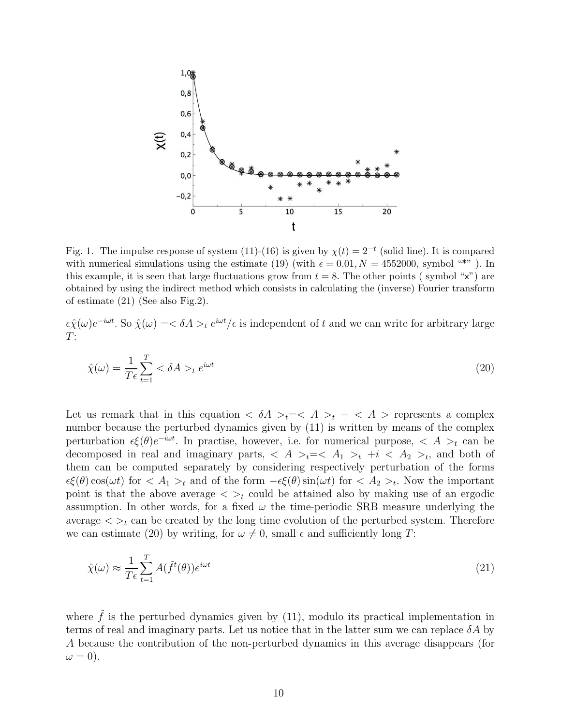

Fig. 1. The impulse response of system (11)-(16) is given by  $\chi(t) = 2^{-t}$  (solid line). It is compared with numerical simulations using the estimate (19) (with  $\epsilon = 0.01, N = 4552000$ , symbol "\*"). In this example, it is seen that large fluctuations grow from  $t = 8$ . The other points (symbol "x") are obtained by using the indirect method which consists in calculating the (inverse) Fourier transform of estimate (21) (See also Fig.2).

 $\epsilon \hat{\chi}(\omega) e^{-i\omega t}$ . So  $\hat{\chi}(\omega) = \langle \delta A \rangle_t e^{i\omega t}/\epsilon$  is independent of t and we can write for arbitrary large  $T:$ 

$$
\hat{\chi}(\omega) = \frac{1}{T\epsilon} \sum_{t=1}^{T} \langle \delta A \rangle_t e^{i\omega t}
$$
\n(20)

Let us remark that in this equation  $\langle \delta A \rangle_t = \langle A \rangle_t - \langle A \rangle$  represents a complex number because the perturbed dynamics given by (11) is written by means of the complex perturbation  $\epsilon \xi(\theta) e^{-i\omega t}$ . In practise, however, i.e. for numerical purpose,  $\langle A \rangle_t$  can be decomposed in real and imaginary parts,  $\langle A \rangle_t = \langle A_1 \rangle_t + i \langle A_2 \rangle_t$ , and both of them can be computed separately by considering respectively perturbation of the forms  $\epsilon\xi(\theta)\cos(\omega t)$  for  $\langle A_1 \rangle_t$  and of the form  $-\epsilon\xi(\theta)\sin(\omega t)$  for  $\langle A_2 \rangle_t$ . Now the important point is that the above average  $\langle \rangle_t$  could be attained also by making use of an ergodic assumption. In other words, for a fixed  $\omega$  the time-periodic SRB measure underlying the average  $\langle \rangle_t$  can be created by the long time evolution of the perturbed system. Therefore we can estimate (20) by writing, for  $\omega \neq 0$ , small  $\epsilon$  and sufficiently long T:

$$
\hat{\chi}(\omega) \approx \frac{1}{T\epsilon} \sum_{t=1}^{T} A(\tilde{f}^t(\theta)) e^{i\omega t}
$$
\n(21)

where  $\tilde{f}$  is the perturbed dynamics given by (11), modulo its practical implementation in terms of real and imaginary parts. Let us notice that in the latter sum we can replace  $\delta A$  by A because the contribution of the non-perturbed dynamics in this average disappears (for  $\omega = 0$ ).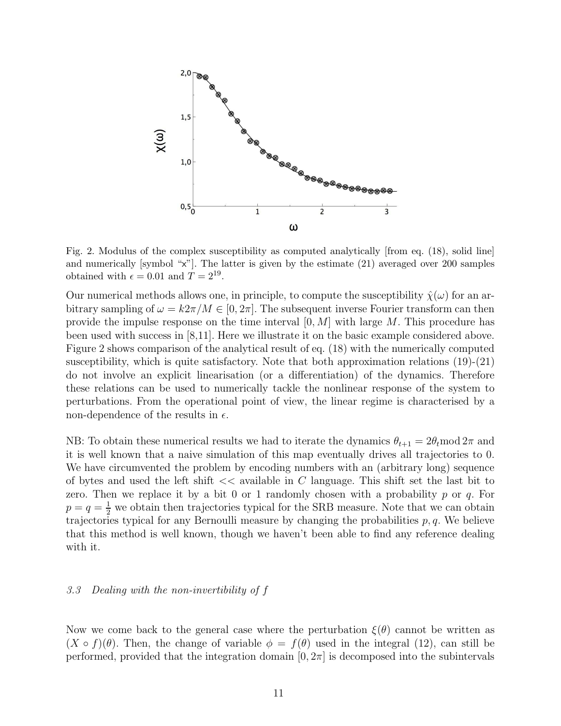

Fig. 2. Modulus of the complex susceptibility as computed analytically [from eq. (18), solid line] and numerically [symbol "x"]. The latter is given by the estimate (21) averaged over 200 samples obtained with  $\epsilon = 0.01$  and  $T = 2^{19}$ .

Our numerical methods allows one, in principle, to compute the susceptibility  $\hat{\chi}(\omega)$  for an arbitrary sampling of  $\omega = k2\pi/M \in [0, 2\pi]$ . The subsequent inverse Fourier transform can then provide the impulse response on the time interval  $[0, M]$  with large M. This procedure has been used with success in [8,11]. Here we illustrate it on the basic example considered above. Figure 2 shows comparison of the analytical result of eq. (18) with the numerically computed susceptibility, which is quite satisfactory. Note that both approximation relations  $(19)-(21)$ do not involve an explicit linearisation (or a differentiation) of the dynamics. Therefore these relations can be used to numerically tackle the nonlinear response of the system to perturbations. From the operational point of view, the linear regime is characterised by a non-dependence of the results in  $\epsilon$ .

NB: To obtain these numerical results we had to iterate the dynamics  $\theta_{t+1} = 2\theta_t \mod 2\pi$  and it is well known that a naive simulation of this map eventually drives all trajectories to 0. We have circumvented the problem by encoding numbers with an (arbitrary long) sequence of bytes and used the left shift  $<<$  available in C language. This shift set the last bit to zero. Then we replace it by a bit 0 or 1 randomly chosen with a probability  $p$  or  $q$ . For  $p = q = \frac{1}{2}$  we obtain then trajectories typical for the SRB measure. Note that we can obtain trajectories typical for any Bernoulli measure by changing the probabilities  $p, q$ . We believe that this method is well known, though we haven't been able to find any reference dealing with it.

# 3.3 Dealing with the non-invertibility of f

Now we come back to the general case where the perturbation  $\xi(\theta)$  cannot be written as  $(X \circ f)(\theta)$ . Then, the change of variable  $\phi = f(\theta)$  used in the integral (12), can still be performed, provided that the integration domain  $[0, 2\pi]$  is decomposed into the subintervals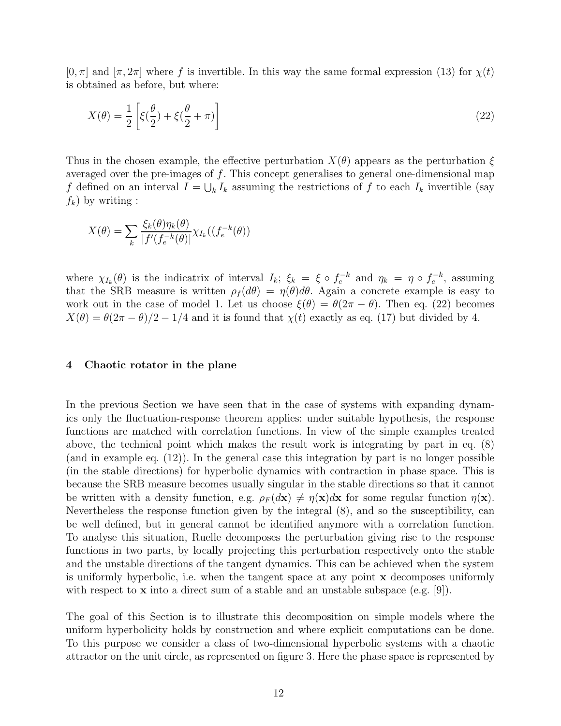$[0, \pi]$  and  $[\pi, 2\pi]$  where f is invertible. In this way the same formal expression (13) for  $\chi(t)$ is obtained as before, but where:

$$
X(\theta) = \frac{1}{2} \left[ \xi(\frac{\theta}{2}) + \xi(\frac{\theta}{2} + \pi) \right]
$$
 (22)

Thus in the chosen example, the effective perturbation  $X(\theta)$  appears as the perturbation  $\xi$ averaged over the pre-images of  $f$ . This concept generalises to general one-dimensional map f defined on an interval  $I = \bigcup_k I_k$  assuming the restrictions of f to each  $I_k$  invertible (say  $f_k$ ) by writing :

$$
X(\theta) = \sum_{k} \frac{\xi_k(\theta) \eta_k(\theta)}{|f'(f_e^{-k}(\theta))} \chi_{I_k}((f_e^{-k}(\theta))
$$

where  $\chi_{I_k}(\theta)$  is the indicatrix of interval  $I_k$ ;  $\xi_k = \xi \circ f_e^{-k}$  and  $\eta_k = \eta \circ f_e^{-k}$ , assuming that the SRB measure is written  $\rho_f(d\theta) = \eta(\theta)d\theta$ . Again a concrete example is easy to work out in the case of model 1. Let us choose  $\xi(\theta) = \theta(2\pi - \theta)$ . Then eq. (22) becomes  $X(\theta) = \theta(2\pi - \theta)/2 - 1/4$  and it is found that  $\chi(t)$  exactly as eq. (17) but divided by 4.

#### 4 Chaotic rotator in the plane

In the previous Section we have seen that in the case of systems with expanding dynamics only the fluctuation-response theorem applies: under suitable hypothesis, the response functions are matched with correlation functions. In view of the simple examples treated above, the technical point which makes the result work is integrating by part in eq. (8) (and in example eq. (12)). In the general case this integration by part is no longer possible (in the stable directions) for hyperbolic dynamics with contraction in phase space. This is because the SRB measure becomes usually singular in the stable directions so that it cannot be written with a density function, e.g.  $\rho_F(d\mathbf{x}) \neq \eta(\mathbf{x})d\mathbf{x}$  for some regular function  $\eta(\mathbf{x})$ . Nevertheless the response function given by the integral (8), and so the susceptibility, can be well defined, but in general cannot be identified anymore with a correlation function. To analyse this situation, Ruelle decomposes the perturbation giving rise to the response functions in two parts, by locally projecting this perturbation respectively onto the stable and the unstable directions of the tangent dynamics. This can be achieved when the system is uniformly hyperbolic, i.e. when the tangent space at any point  $\bf{x}$  decomposes uniformly with respect to **x** into a direct sum of a stable and an unstable subspace (e.g.  $[9]$ ).

The goal of this Section is to illustrate this decomposition on simple models where the uniform hyperbolicity holds by construction and where explicit computations can be done. To this purpose we consider a class of two-dimensional hyperbolic systems with a chaotic attractor on the unit circle, as represented on figure 3. Here the phase space is represented by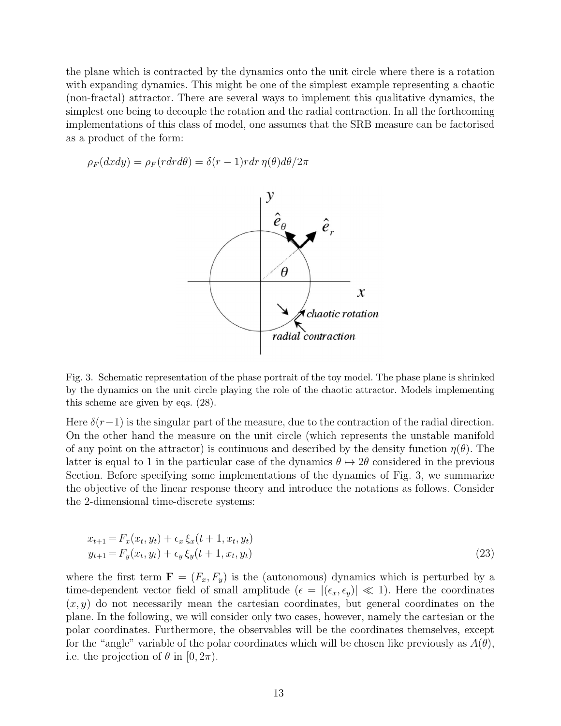the plane which is contracted by the dynamics onto the unit circle where there is a rotation with expanding dynamics. This might be one of the simplest example representing a chaotic (non-fractal) attractor. There are several ways to implement this qualitative dynamics, the simplest one being to decouple the rotation and the radial contraction. In all the forthcoming implementations of this class of model, one assumes that the SRB measure can be factorised as a product of the form:

$$
\rho_F(dxdy) = \rho_F(rdrd\theta) = \delta(r-1) rdr \eta(\theta) d\theta/2\pi
$$



Fig. 3. Schematic representation of the phase portrait of the toy model. The phase plane is shrinked by the dynamics on the unit circle playing the role of the chaotic attractor. Models implementing this scheme are given by eqs. (28).

Here  $\delta(r-1)$  is the singular part of the measure, due to the contraction of the radial direction. On the other hand the measure on the unit circle (which represents the unstable manifold of any point on the attractor) is continuous and described by the density function  $\eta(\theta)$ . The latter is equal to 1 in the particular case of the dynamics  $\theta \mapsto 2\theta$  considered in the previous Section. Before specifying some implementations of the dynamics of Fig. 3, we summarize the objective of the linear response theory and introduce the notations as follows. Consider the 2-dimensional time-discrete systems:

$$
x_{t+1} = F_x(x_t, y_t) + \epsilon_x \xi_x(t+1, x_t, y_t)
$$
  
\n
$$
y_{t+1} = F_y(x_t, y_t) + \epsilon_y \xi_y(t+1, x_t, y_t)
$$
\n(23)

where the first term  $\mathbf{F} = (F_x, F_y)$  is the (autonomous) dynamics which is perturbed by a time-dependent vector field of small amplitude ( $\epsilon = |(\epsilon_x, \epsilon_y)| \ll 1$ ). Here the coordinates  $(x, y)$  do not necessarily mean the cartesian coordinates, but general coordinates on the plane. In the following, we will consider only two cases, however, namely the cartesian or the polar coordinates. Furthermore, the observables will be the coordinates themselves, except for the "angle" variable of the polar coordinates which will be chosen like previously as  $A(\theta)$ , i.e. the projection of  $\theta$  in [0,  $2\pi$ ).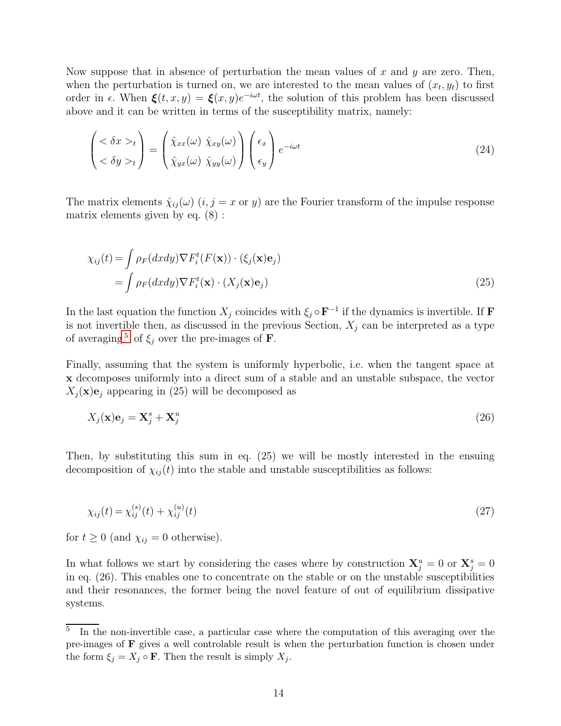Now suppose that in absence of perturbation the mean values of x and y are zero. Then, when the perturbation is turned on, we are interested to the mean values of  $(x_t, y_t)$  to first order in  $\epsilon$ . When  $\xi(t, x, y) = \xi(x, y)e^{-i\omega t}$ , the solution of this problem has been discussed above and it can be written in terms of the susceptibility matrix, namely:

$$
\begin{pmatrix} <\delta x>_{t} \\ <\delta y>_{t} \end{pmatrix} = \begin{pmatrix} \hat{\chi}_{xx}(\omega) \ \hat{\chi}_{xy}(\omega) \\ \hat{\chi}_{yx}(\omega) \ \hat{\chi}_{yy}(\omega) \end{pmatrix} \begin{pmatrix} \epsilon_{x} \\ \epsilon_{y} \end{pmatrix} e^{-i\omega t}
$$
(24)

The matrix elements  $\hat{\chi}_{ij}(\omega)$   $(i, j = x \text{ or } y)$  are the Fourier transform of the impulse response matrix elements given by eq. (8) :

$$
\chi_{ij}(t) = \int \rho_F(dx dy) \nabla F_i^t(F(\mathbf{x})) \cdot (\xi_j(\mathbf{x})\mathbf{e}_j)
$$
  
= 
$$
\int \rho_F(dx dy) \nabla F_i^t(\mathbf{x}) \cdot (X_j(\mathbf{x})\mathbf{e}_j)
$$
 (25)

In the last equation the function  $X_j$  coincides with  $\xi_j \circ \mathbf{F}^{-1}$  if the dynamics is invertible. If **F** is not invertible then, as discussed in the previous Section,  $X_j$  can be interpreted as a type of averaging  $5$  of  $\xi_j$  over the pre-images of **F**.

Finally, assuming that the system is uniformly hyperbolic, i.e. when the tangent space at x decomposes uniformly into a direct sum of a stable and an unstable subspace, the vector  $X_j(\mathbf{x})\mathbf{e}_j$  appearing in (25) will be decomposed as

$$
X_j(\mathbf{x})\mathbf{e}_j = \mathbf{X}_j^s + \mathbf{X}_j^u \tag{26}
$$

Then, by substituting this sum in eq. (25) we will be mostly interested in the ensuing decomposition of  $\chi_{ii}(t)$  into the stable and unstable susceptibilities as follows:

$$
\chi_{ij}(t) = \chi_{ij}^{(s)}(t) + \chi_{ij}^{(u)}(t) \tag{27}
$$

for  $t \geq 0$  (and  $\chi_{ij} = 0$  otherwise).

In what follows we start by considering the cases where by construction  $X_j^u = 0$  or  $X_j^s = 0$ in eq. (26). This enables one to concentrate on the stable or on the unstable susceptibilities and their resonances, the former being the novel feature of out of equilibrium dissipative systems.

<span id="page-13-0"></span><sup>5</sup> In the non-invertible case, a particular case where the computation of this averaging over the pre-images of F gives a well controlable result is when the perturbation function is chosen under the form  $\xi_j = X_j \circ \mathbf{F}$ . Then the result is simply  $X_j$ .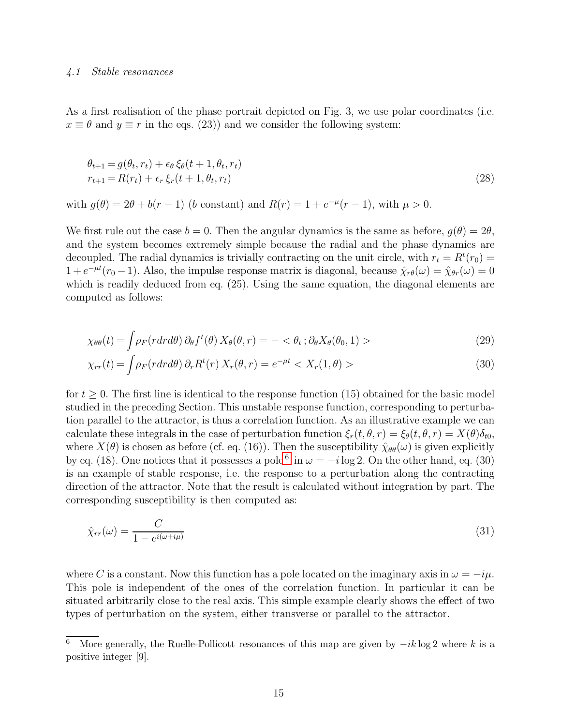#### 4.1 Stable resonances

As a first realisation of the phase portrait depicted on Fig. 3, we use polar coordinates (i.e.  $x \equiv \theta$  and  $y \equiv r$  in the eqs. (23)) and we consider the following system:

$$
\theta_{t+1} = g(\theta_t, r_t) + \epsilon_{\theta} \xi_{\theta}(t+1, \theta_t, r_t)
$$
  
\n
$$
r_{t+1} = R(r_t) + \epsilon_r \xi_r(t+1, \theta_t, r_t)
$$
\n(28)

with  $g(\theta) = 2\theta + b(r - 1)$  (b constant) and  $R(r) = 1 + e^{-\mu}(r - 1)$ , with  $\mu > 0$ .

We first rule out the case  $b = 0$ . Then the angular dynamics is the same as before,  $g(\theta) = 2\theta$ , and the system becomes extremely simple because the radial and the phase dynamics are decoupled. The radial dynamics is trivially contracting on the unit circle, with  $r_t = R^t(r_0)$  $1 + e^{-\mu t} (r_0 - 1)$ . Also, the impulse response matrix is diagonal, because  $\hat{\chi}_{r\theta}(\omega) = \hat{\chi}_{\theta r}(\omega) = 0$ which is readily deduced from eq.  $(25)$ . Using the same equation, the diagonal elements are computed as follows:

$$
\chi_{\theta\theta}(t) = \int \rho_F(r dr d\theta) \, \partial_{\theta} f^t(\theta) \, X_{\theta}(\theta, r) = -\langle \theta_t \, ; \partial_{\theta} X_{\theta}(\theta_0, 1) \rangle \tag{29}
$$

$$
\chi_{rr}(t) = \int \rho_F(r dr d\theta) \, \partial_r R^t(r) \, X_r(\theta, r) = e^{-\mu t} < X_r(1, \theta) > \tag{30}
$$

for  $t \geq 0$ . The first line is identical to the response function (15) obtained for the basic model studied in the preceding Section. This unstable response function, corresponding to perturbation parallel to the attractor, is thus a correlation function. As an illustrative example we can calculate these integrals in the case of perturbation function  $\xi_r(t,\theta,r) = \xi_\theta(t,\theta,r) = X(\theta)\delta_{t0}$ , where  $X(\theta)$  is chosen as before (cf. eq. (16)). Then the susceptibility  $\hat{\chi}_{\theta\theta}(\omega)$  is given explicitly by eq. (18). One notices that it possesses a pole<sup>[6](#page-14-0)</sup> in  $\omega = -i \log 2$ . On the other hand, eq. (30) is an example of stable response, i.e. the response to a perturbation along the contracting direction of the attractor. Note that the result is calculated without integration by part. The corresponding susceptibility is then computed as:

$$
\hat{\chi}_{rr}(\omega) = \frac{C}{1 - e^{i(\omega + i\mu)}}\tag{31}
$$

where C is a constant. Now this function has a pole located on the imaginary axis in  $\omega = -i\mu$ . This pole is independent of the ones of the correlation function. In particular it can be situated arbitrarily close to the real axis. This simple example clearly shows the effect of two types of perturbation on the system, either transverse or parallel to the attractor.

<span id="page-14-0"></span><sup>&</sup>lt;sup>6</sup> More generally, the Ruelle-Pollicott resonances of this map are given by  $-ik \log 2$  where k is a positive integer [9].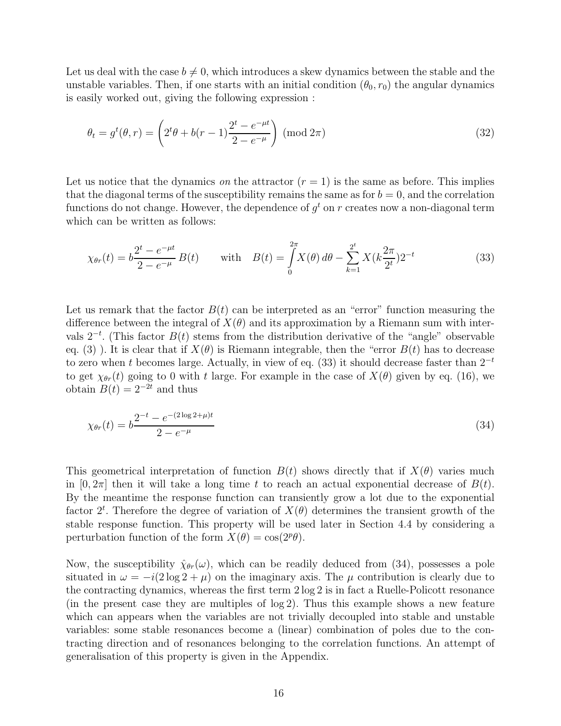Let us deal with the case  $b \neq 0$ , which introduces a skew dynamics between the stable and the unstable variables. Then, if one starts with an initial condition  $(\theta_0, r_0)$  the angular dynamics is easily worked out, giving the following expression :

$$
\theta_t = g^t(\theta, r) = \left(2^t \theta + b(r - 1)\frac{2^t - e^{-\mu t}}{2 - e^{-\mu}}\right) \text{ (mod } 2\pi)
$$
\n(32)

Let us notice that the dynamics on the attractor  $(r = 1)$  is the same as before. This implies that the diagonal terms of the susceptibility remains the same as for  $b = 0$ , and the correlation functions do not change. However, the dependence of  $g<sup>t</sup>$  on  $r$  creates now a non-diagonal term which can be written as follows:

$$
\chi_{\theta r}(t) = b \frac{2^t - e^{-\mu t}}{2 - e^{-\mu}} B(t) \quad \text{with} \quad B(t) = \int_0^{2\pi} X(\theta) \, d\theta - \sum_{k=1}^{2^t} X(k \frac{2\pi}{2^t}) 2^{-t} \tag{33}
$$

Let us remark that the factor  $B(t)$  can be interpreted as an "error" function measuring the difference between the integral of  $X(\theta)$  and its approximation by a Riemann sum with intervals  $2^{-t}$ . (This factor  $B(t)$  stems from the distribution derivative of the "angle" observable eq. (3)). It is clear that if  $X(\theta)$  is Riemann integrable, then the "error  $B(t)$  has to decrease to zero when t becomes large. Actually, in view of eq. (33) it should decrease faster than  $2^{-t}$ to get  $\chi_{\theta r}(t)$  going to 0 with t large. For example in the case of  $X(\theta)$  given by eq. (16), we obtain  $B(t) = 2^{-2t}$  and thus

$$
\chi_{\theta r}(t) = b \frac{2^{-t} - e^{-(2\log 2 + \mu)t}}{2 - e^{-\mu}}
$$
\n(34)

This geometrical interpretation of function  $B(t)$  shows directly that if  $X(\theta)$  varies much in  $[0, 2\pi]$  then it will take a long time t to reach an actual exponential decrease of  $B(t)$ . By the meantime the response function can transiently grow a lot due to the exponential factor  $2^t$ . Therefore the degree of variation of  $X(\theta)$  determines the transient growth of the stable response function. This property will be used later in Section 4.4 by considering a perturbation function of the form  $X(\theta) = \cos(2^p \theta)$ .

Now, the susceptibility  $\hat{\chi}_{\theta r}(\omega)$ , which can be readily deduced from (34), possesses a pole situated in  $\omega = -i(2\log 2 + \mu)$  on the imaginary axis. The  $\mu$  contribution is clearly due to the contracting dynamics, whereas the first term 2 log 2 is in fact a Ruelle-Policott resonance (in the present case they are multiples of log 2). Thus this example shows a new feature which can appears when the variables are not trivially decoupled into stable and unstable variables: some stable resonances become a (linear) combination of poles due to the contracting direction and of resonances belonging to the correlation functions. An attempt of generalisation of this property is given in the Appendix.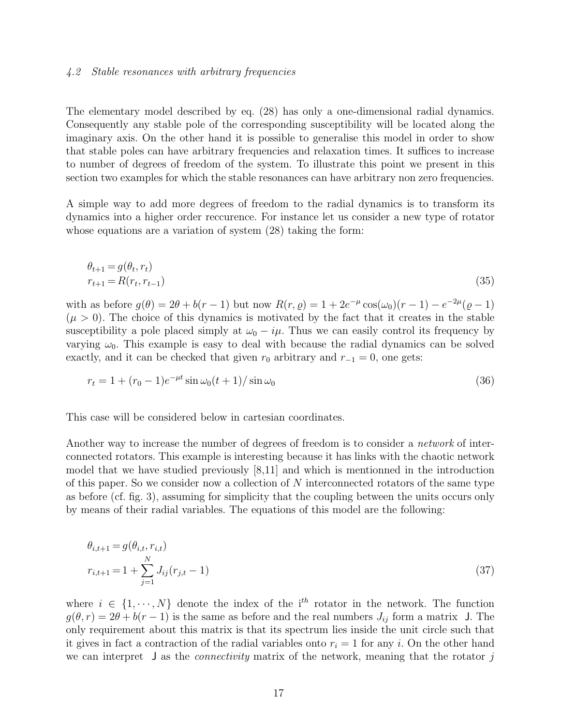# 4.2 Stable resonances with arbitrary frequencies

The elementary model described by eq. (28) has only a one-dimensional radial dynamics. Consequently any stable pole of the corresponding susceptibility will be located along the imaginary axis. On the other hand it is possible to generalise this model in order to show that stable poles can have arbitrary frequencies and relaxation times. It suffices to increase to number of degrees of freedom of the system. To illustrate this point we present in this section two examples for which the stable resonances can have arbitrary non zero frequencies.

A simple way to add more degrees of freedom to the radial dynamics is to transform its dynamics into a higher order reccurence. For instance let us consider a new type of rotator whose equations are a variation of system  $(28)$  taking the form:

$$
\theta_{t+1} = g(\theta_t, r_t) \n r_{t+1} = R(r_t, r_{t-1})
$$
\n(35)

with as before  $g(\theta) = 2\theta + b(r-1)$  but now  $R(r, \rho) = 1 + 2e^{-\mu} \cos(\omega_0)(r-1) - e^{-2\mu}(\rho-1)$  $(\mu > 0)$ . The choice of this dynamics is motivated by the fact that it creates in the stable susceptibility a pole placed simply at  $\omega_0 - i\mu$ . Thus we can easily control its frequency by varying  $\omega_0$ . This example is easy to deal with because the radial dynamics can be solved exactly, and it can be checked that given  $r_0$  arbitrary and  $r_{-1} = 0$ , one gets:

$$
r_t = 1 + (r_0 - 1)e^{-\mu t} \sin \omega_0 (t + 1) / \sin \omega_0 \tag{36}
$$

This case will be considered below in cartesian coordinates.

Another way to increase the number of degrees of freedom is to consider a network of interconnected rotators. This example is interesting because it has links with the chaotic network model that we have studied previously [8,11] and which is mentionned in the introduction of this paper. So we consider now a collection of  $N$  interconnected rotators of the same type as before (cf. fig. 3), assuming for simplicity that the coupling between the units occurs only by means of their radial variables. The equations of this model are the following:

$$
\theta_{i,t+1} = g(\theta_{i,t}, r_{i,t})
$$
  
\n
$$
r_{i,t+1} = 1 + \sum_{j=1}^{N} J_{ij}(r_{j,t} - 1)
$$
\n(37)

where  $i \in \{1, \dots, N\}$  denote the index of the i<sup>th</sup> rotator in the network. The function  $g(\theta, r) = 2\theta + b(r - 1)$  is the same as before and the real numbers  $J_{ij}$  form a matrix J. The only requirement about this matrix is that its spectrum lies inside the unit circle such that it gives in fact a contraction of the radial variables onto  $r_i = 1$  for any i. On the other hand we can interpret  $\bf{J}$  as the *connectivity* matrix of the network, meaning that the rotator j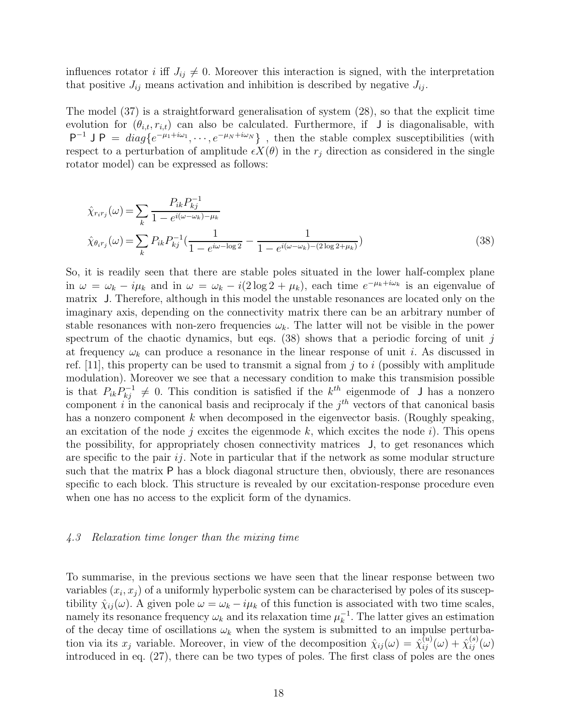influences rotator i iff  $J_{ij} \neq 0$ . Moreover this interaction is signed, with the interpretation that positive  $J_{ij}$  means activation and inhibition is described by negative  $J_{ij}$ .

The model (37) is a straightforward generalisation of system (28), so that the explicit time evolution for  $(\theta_{i,t}, r_{i,t})$  can also be calculated. Furthermore, if J is diagonalisable, with  $P^{-1}$  J P =  $diag\{e^{-\mu_1+i\omega_1}, \dots, e^{-\mu_N+i\omega_N}\}\,$ , then the stable complex susceptibilities (with respect to a perturbation of amplitude  $\epsilon X(\theta)$  in the  $r_i$  direction as considered in the single rotator model) can be expressed as follows:

$$
\hat{\chi}_{r_i r_j}(\omega) = \sum_{k} \frac{P_{ik} P_{kj}^{-1}}{1 - e^{i(\omega - \omega_k) - \mu_k}}
$$
\n
$$
\hat{\chi}_{\theta_i r_j}(\omega) = \sum_{k} P_{ik} P_{kj}^{-1} \left( \frac{1}{1 - e^{i\omega - \log 2}} - \frac{1}{1 - e^{i(\omega - \omega_k) - (2\log 2 + \mu_k)}} \right)
$$
\n(38)

So, it is readily seen that there are stable poles situated in the lower half-complex plane in  $\omega = \omega_k - i\mu_k$  and in  $\omega = \omega_k - i(2\log 2 + \mu_k)$ , each time  $e^{-\mu_k + i\omega_k}$  is an eigenvalue of matrix J. Therefore, although in this model the unstable resonances are located only on the imaginary axis, depending on the connectivity matrix there can be an arbitrary number of stable resonances with non-zero frequencies  $\omega_k$ . The latter will not be visible in the power spectrum of the chaotic dynamics, but eqs.  $(38)$  shows that a periodic forcing of unit j at frequency  $\omega_k$  can produce a resonance in the linear response of unit *i*. As discussed in ref. [11], this property can be used to transmit a signal from j to i (possibly with amplitude modulation). Moreover we see that a necessary condition to make this transmision possible is that  $P_{ik}P_{kj}^{-1} \neq 0$ . This condition is satisfied if the  $k^{th}$  eigenmode of J has a nonzero component i in the canonical basis and reciprocaly if the  $j<sup>th</sup>$  vectors of that canonical basis has a nonzero component  $k$  when decomposed in the eigenvector basis. (Roughly speaking, an excitation of the node j excites the eigenmode k, which excites the node i). This opens the possibility, for appropriately chosen connectivity matrices J, to get resonances which are specific to the pair  $ij$ . Note in particular that if the network as some modular structure such that the matrix P has a block diagonal structure then, obviously, there are resonances specific to each block. This structure is revealed by our excitation-response procedure even when one has no access to the explicit form of the dynamics.

#### 4.3 Relaxation time longer than the mixing time

To summarise, in the previous sections we have seen that the linear response between two variables  $(x_i, x_j)$  of a uniformly hyperbolic system can be characterised by poles of its susceptibility  $\hat{\chi}_{ij}(\omega)$ . A given pole  $\omega = \omega_k - i\mu_k$  of this function is associated with two time scales, namely its resonance frequency  $\omega_k$  and its relaxation time  $\mu_k^{-1}$ . The latter gives an estimation of the decay time of oscillations  $\omega_k$  when the system is submitted to an impulse perturbation via its  $x_j$  variable. Moreover, in view of the decomposition  $\hat{\chi}_{ij}(\omega) = \hat{\chi}_{ij}^{(u)}(\omega) + \hat{\chi}_{ij}^{(s)}(\omega)$ introduced in eq. (27), there can be two types of poles. The first class of poles are the ones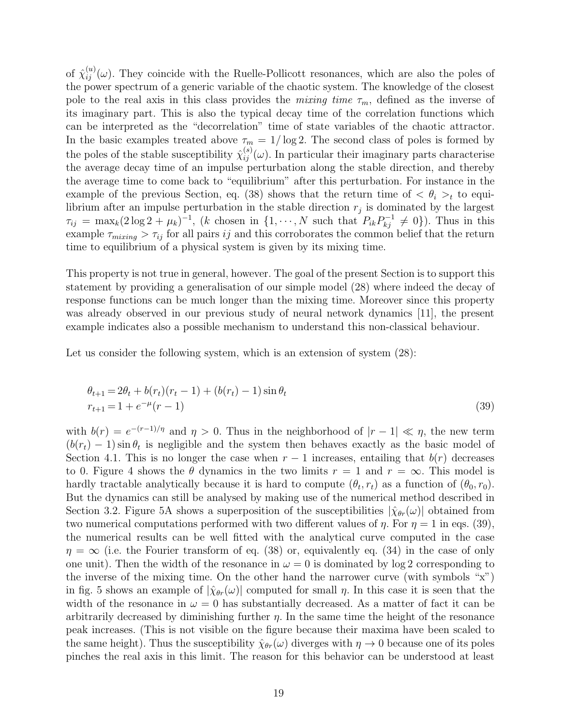of  $\hat{\chi}_{ij}^{(u)}(\omega)$ . They coincide with the Ruelle-Pollicott resonances, which are also the poles of the power spectrum of a generic variable of the chaotic system. The knowledge of the closest pole to the real axis in this class provides the mixing time  $\tau_m$ , defined as the inverse of its imaginary part. This is also the typical decay time of the correlation functions which can be interpreted as the "decorrelation" time of state variables of the chaotic attractor. In the basic examples treated above  $\tau_m = 1/\log 2$ . The second class of poles is formed by the poles of the stable susceptibility  $\hat{\chi}_{ij}^{(s)}(\omega)$ . In particular their imaginary parts characterise the average decay time of an impulse perturbation along the stable direction, and thereby the average time to come back to "equilibrium" after this perturbation. For instance in the example of the previous Section, eq. (38) shows that the return time of  $\langle \theta_i \rangle_t$  to equilibrium after an impulse perturbation in the stable direction  $r_j$  is dominated by the largest  $\tau_{ij} = \max_k(2\log 2 + \mu_k)^{-1}$ , (k chosen in  $\{1, \dots, N \text{ such that } P_{ik}P_{kj}^{-1} \neq 0\}$ ). Thus in this example  $\tau_{mixing} > \tau_{ij}$  for all pairs ij and this corroborates the common belief that the return time to equilibrium of a physical system is given by its mixing time.

This property is not true in general, however. The goal of the present Section is to support this statement by providing a generalisation of our simple model (28) where indeed the decay of response functions can be much longer than the mixing time. Moreover since this property was already observed in our previous study of neural network dynamics [11], the present example indicates also a possible mechanism to understand this non-classical behaviour.

Let us consider the following system, which is an extension of system  $(28)$ :

$$
\theta_{t+1} = 2\theta_t + b(r_t)(r_t - 1) + (b(r_t) - 1)\sin\theta_t
$$
  
\n
$$
r_{t+1} = 1 + e^{-\mu}(r - 1)
$$
\n(39)

with  $b(r) = e^{-(r-1)/\eta}$  and  $\eta > 0$ . Thus in the neighborhood of  $|r-1| \ll \eta$ , the new term  $(b(r_t) - 1) \sin \theta_t$  is negligible and the system then behaves exactly as the basic model of Section 4.1. This is no longer the case when  $r-1$  increases, entailing that  $b(r)$  decreases to 0. Figure 4 shows the  $\theta$  dynamics in the two limits  $r = 1$  and  $r = \infty$ . This model is hardly tractable analytically because it is hard to compute  $(\theta_t, r_t)$  as a function of  $(\theta_0, r_0)$ . But the dynamics can still be analysed by making use of the numerical method described in Section 3.2. Figure 5A shows a superposition of the susceptibilities  $|\hat{\chi}_{\theta r}(\omega)|$  obtained from two numerical computations performed with two different values of  $\eta$ . For  $\eta = 1$  in eqs. (39), the numerical results can be well fitted with the analytical curve computed in the case  $\eta = \infty$  (i.e. the Fourier transform of eq. (38) or, equivalently eq. (34) in the case of only one unit). Then the width of the resonance in  $\omega = 0$  is dominated by log 2 corresponding to the inverse of the mixing time. On the other hand the narrower curve (with symbols "x") in fig. 5 shows an example of  $|\hat{\chi}_{\theta r}(\omega)|$  computed for small  $\eta$ . In this case it is seen that the width of the resonance in  $\omega = 0$  has substantially decreased. As a matter of fact it can be arbitrarily decreased by diminishing further  $\eta$ . In the same time the height of the resonance peak increases. (This is not visible on the figure because their maxima have been scaled to the same height). Thus the susceptibility  $\hat{\chi}_{\theta r}(\omega)$  diverges with  $\eta \to 0$  because one of its poles pinches the real axis in this limit. The reason for this behavior can be understood at least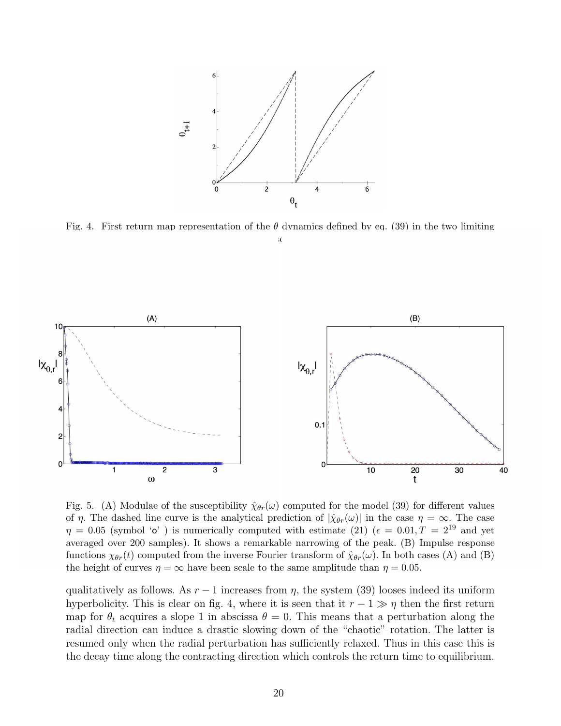

Fig. 4. First return map representation of the  $\theta$  dynamics defined by eq. (39) in the two limiting  $\mathcal{C}$ 



Fig. 5. (A) Modulae of the susceptibility  $\hat{\chi}_{\theta r}(\omega)$  computed for the model (39) for different values of  $\eta$ . The dashed line curve is the analytical prediction of  $|\hat{\chi}_{\theta r}(\omega)|$  in the case  $\eta = \infty$ . The case  $\eta = 0.05$  (symbol 'o') is numerically computed with estimate (21) ( $\epsilon = 0.01, T = 2^{19}$  and yet averaged over 200 samples). It shows a remarkable narrowing of the peak. (B) Impulse response functions  $\chi_{\theta r}(t)$  computed from the inverse Fourier transform of  $\hat{\chi}_{\theta r}(\omega)$ . In both cases (A) and (B) the height of curves  $\eta = \infty$  have been scale to the same amplitude than  $\eta = 0.05$ .

qualitatively as follows. As  $r-1$  increases from  $\eta$ , the system (39) looses indeed its uniform hyperbolicity. This is clear on fig. 4, where it is seen that it  $r - 1 \gg \eta$  then the first return map for  $\theta_t$  acquires a slope 1 in abscissa  $\theta = 0$ . This means that a perturbation along the radial direction can induce a drastic slowing down of the "chaotic" rotation. The latter is resumed only when the radial perturbation has sufficiently relaxed. Thus in this case this is the decay time along the contracting direction which controls the return time to equilibrium.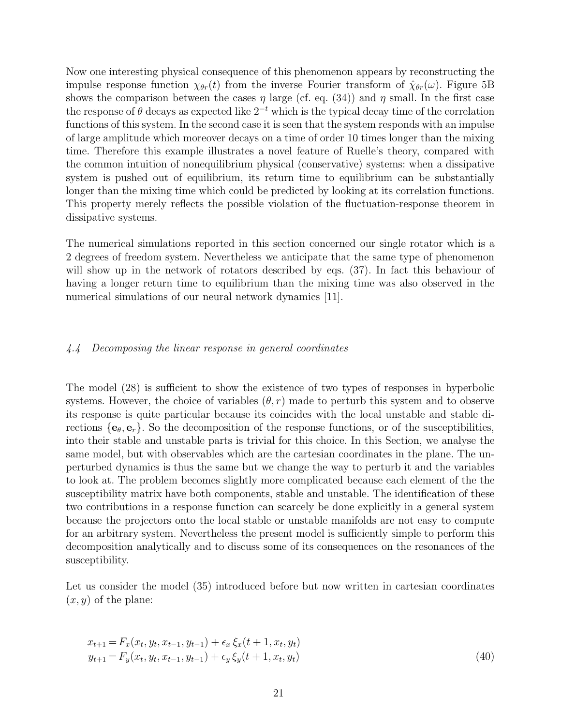Now one interesting physical consequence of this phenomenon appears by reconstructing the impulse response function  $\chi_{\theta r}(t)$  from the inverse Fourier transform of  $\hat{\chi}_{\theta r}(\omega)$ . Figure 5B shows the comparison between the cases  $\eta$  large (cf. eq. (34)) and  $\eta$  small. In the first case the response of  $\theta$  decays as expected like  $2^{-t}$  which is the typical decay time of the correlation functions of this system. In the second case it is seen that the system responds with an impulse of large amplitude which moreover decays on a time of order 10 times longer than the mixing time. Therefore this example illustrates a novel feature of Ruelle's theory, compared with the common intuition of nonequilibrium physical (conservative) systems: when a dissipative system is pushed out of equilibrium, its return time to equilibrium can be substantially longer than the mixing time which could be predicted by looking at its correlation functions. This property merely reflects the possible violation of the fluctuation-response theorem in dissipative systems.

The numerical simulations reported in this section concerned our single rotator which is a 2 degrees of freedom system. Nevertheless we anticipate that the same type of phenomenon will show up in the network of rotators described by eqs. (37). In fact this behaviour of having a longer return time to equilibrium than the mixing time was also observed in the numerical simulations of our neural network dynamics [11].

# 4.4 Decomposing the linear response in general coordinates

The model (28) is sufficient to show the existence of two types of responses in hyperbolic systems. However, the choice of variables  $(\theta, r)$  made to perturb this system and to observe its response is quite particular because its coincides with the local unstable and stable directions  $\{e_{\theta}, e_r\}$ . So the decomposition of the response functions, or of the susceptibilities, into their stable and unstable parts is trivial for this choice. In this Section, we analyse the same model, but with observables which are the cartesian coordinates in the plane. The unperturbed dynamics is thus the same but we change the way to perturb it and the variables to look at. The problem becomes slightly more complicated because each element of the the susceptibility matrix have both components, stable and unstable. The identification of these two contributions in a response function can scarcely be done explicitly in a general system because the projectors onto the local stable or unstable manifolds are not easy to compute for an arbitrary system. Nevertheless the present model is sufficiently simple to perform this decomposition analytically and to discuss some of its consequences on the resonances of the susceptibility.

Let us consider the model (35) introduced before but now written in cartesian coordinates  $(x, y)$  of the plane:

$$
x_{t+1} = F_x(x_t, y_t, x_{t-1}, y_{t-1}) + \epsilon_x \xi_x(t+1, x_t, y_t)
$$
  
\n
$$
y_{t+1} = F_y(x_t, y_t, x_{t-1}, y_{t-1}) + \epsilon_y \xi_y(t+1, x_t, y_t)
$$
\n(40)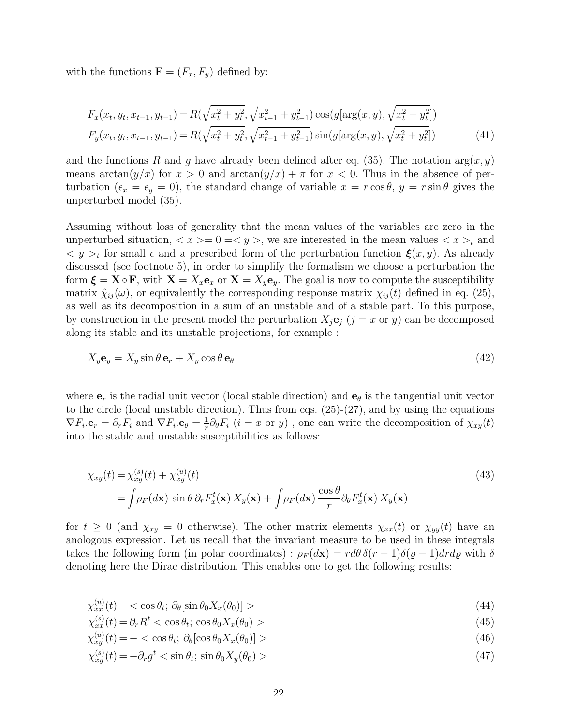with the functions  $\mathbf{F} = (F_x, F_y)$  defined by:

$$
F_x(x_t, y_t, x_{t-1}, y_{t-1}) = R(\sqrt{x_t^2 + y_t^2}, \sqrt{x_{t-1}^2 + y_{t-1}^2}) \cos(g[\arg(x, y), \sqrt{x_t^2 + y_t^2}])
$$
  
\n
$$
F_y(x_t, y_t, x_{t-1}, y_{t-1}) = R(\sqrt{x_t^2 + y_t^2}, \sqrt{x_{t-1}^2 + y_{t-1}^2}) \sin(g[\arg(x, y), \sqrt{x_t^2 + y_t^2}])
$$
\n(41)

and the functions R and g have already been defined after eq. (35). The notation  $arg(x, y)$ means  $\arctan(y/x)$  for  $x > 0$  and  $\arctan(y/x) + \pi$  for  $x < 0$ . Thus in the absence of perturbation  $(\epsilon_x = \epsilon_y = 0)$ , the standard change of variable  $x = r \cos \theta$ ,  $y = r \sin \theta$  gives the unperturbed model (35).

Assuming without loss of generality that the mean values of the variables are zero in the unperturbed situation,  $\langle x \rangle = 0 \Rightarrow y \rangle$ , we are interested in the mean values  $\langle x \rangle_t$  and  $y > t$  for small  $\epsilon$  and a prescribed form of the perturbation function  $\xi(x, y)$ . As already discussed (see footnote 5), in order to simplify the formalism we choose a perturbation the form  $\boldsymbol{\xi} = \mathbf{X} \circ \mathbf{F}$ , with  $\mathbf{X} = X_x \mathbf{e}_x$  or  $\mathbf{X} = X_y \mathbf{e}_y$ . The goal is now to compute the susceptibility matrix  $\hat{\chi}_{ij}(\omega)$ , or equivalently the corresponding response matrix  $\chi_{ij}(t)$  defined in eq. (25), as well as its decomposition in a sum of an unstable and of a stable part. To this purpose, by construction in the present model the perturbation  $X_i\mathbf{e}_i$  ( $j = x$  or y) can be decomposed along its stable and its unstable projections, for example :

$$
X_y \mathbf{e}_y = X_y \sin \theta \mathbf{e}_r + X_y \cos \theta \mathbf{e}_\theta \tag{42}
$$

where  $e_r$  is the radial unit vector (local stable direction) and  $e_\theta$  is the tangential unit vector to the circle (local unstable direction). Thus from eqs.  $(25)-(27)$ , and by using the equations  $\nabla F_i \cdot \mathbf{e}_r = \partial_r F_i$  and  $\nabla F_i \cdot \mathbf{e}_\theta = \frac{1}{r}$  $\frac{1}{r}\partial_{\theta}F_{i}$   $(i=x \text{ or } y)$ , one can write the decomposition of  $\chi_{xy}(t)$ into the stable and unstable susceptibilities as follows:

$$
\chi_{xy}(t) = \chi_{xy}^{(s)}(t) + \chi_{xy}^{(u)}(t)
$$
\n
$$
= \int \rho_F(d\mathbf{x}) \sin \theta \, \partial_r F_x^t(\mathbf{x}) \, X_y(\mathbf{x}) + \int \rho_F(d\mathbf{x}) \, \frac{\cos \theta}{r} \partial_\theta F_x^t(\mathbf{x}) \, X_y(\mathbf{x}) \tag{43}
$$

for  $t \geq 0$  (and  $\chi_{xy} = 0$  otherwise). The other matrix elements  $\chi_{xx}(t)$  or  $\chi_{yy}(t)$  have an anologous expression. Let us recall that the invariant measure to be used in these integrals takes the following form (in polar coordinates) :  $\rho_F(dx) = r d\theta \, \delta(r-1) \delta(\varrho-1) dr d\varrho$  with  $\delta$ denoting here the Dirac distribution. This enables one to get the following results:

$$
\chi_{xx}^{(u)}(t) = \langle \cos \theta_t; \, \partial_\theta [\sin \theta_0 X_x(\theta_0)] \rangle \tag{44}
$$

$$
\chi_{xx}^{(s)}(t) = \partial_r R^t < \cos \theta_t; \cos \theta_0 X_x(\theta_0) > \tag{45}
$$

$$
\chi_{xy}^{(u)}(t) = -\langle \cos \theta_t; \, \partial_\theta [\cos \theta_0 X_x(\theta_0)] \rangle \tag{46}
$$

$$
\chi_{xy}^{(s)}(t) = -\partial_r g^t < \sin \theta_t; \sin \theta_0 X_y(\theta_0) > \tag{47}
$$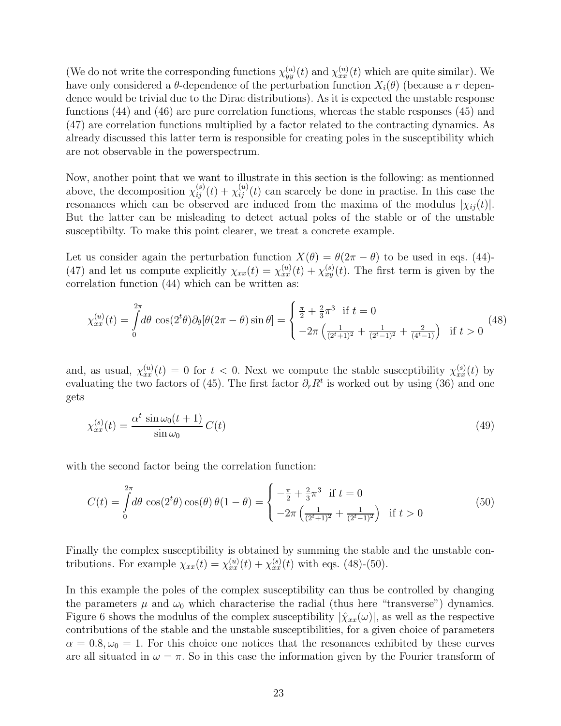(We do not write the corresponding functions  $\chi_{yy}^{(u)}(t)$  and  $\chi_{xx}^{(u)}(t)$  which are quite similar). We have only considered a  $\theta$ -dependence of the perturbation function  $X_i(\theta)$  (because a r dependence would be trivial due to the Dirac distributions). As it is expected the unstable response functions (44) and (46) are pure correlation functions, whereas the stable responses (45) and (47) are correlation functions multiplied by a factor related to the contracting dynamics. As already discussed this latter term is responsible for creating poles in the susceptibility which are not observable in the powerspectrum.

Now, another point that we want to illustrate in this section is the following: as mentionned above, the decomposition  $\chi_{ij}^{(s)}(t) + \chi_{ij}^{(u)}(t)$  can scarcely be done in practise. In this case the resonances which can be observed are induced from the maxima of the modulus  $|\chi_{ij}(t)|$ . But the latter can be misleading to detect actual poles of the stable or of the unstable susceptibilty. To make this point clearer, we treat a concrete example.

Let us consider again the perturbation function  $X(\theta) = \theta(2\pi - \theta)$  to be used in eqs. (44)-(47) and let us compute explicitly  $\chi_{xx}(t) = \chi_{xx}^{(u)}(t) + \chi_{xy}^{(s)}(t)$ . The first term is given by the correlation function (44) which can be written as:

$$
\chi_{xx}^{(u)}(t) = \int_0^{2\pi} d\theta \, \cos(2^t \theta) \partial_\theta [\theta (2\pi - \theta) \sin \theta] = \begin{cases} \frac{\pi}{2} + \frac{2}{3}\pi^3 & \text{if } t = 0\\ -2\pi \left( \frac{1}{(2^t + 1)^2} + \frac{1}{(2^t - 1)^2} + \frac{2}{(4^t - 1)} \right) & \text{if } t > 0 \end{cases} \tag{48}
$$

and, as usual,  $\chi_{xx}^{(u)}(t) = 0$  for  $t < 0$ . Next we compute the stable susceptibility  $\chi_{xx}^{(s)}(t)$  by evaluating the two factors of (45). The first factor  $\partial_r R^t$  is worked out by using (36) and one gets

$$
\chi_{xx}^{(s)}(t) = \frac{\alpha^t \sin \omega_0(t+1)}{\sin \omega_0} C(t)
$$
\n(49)

with the second factor being the correlation function:

$$
C(t) = \int_{0}^{2\pi} d\theta \cos(2^t \theta) \cos(\theta) \theta (1 - \theta) = \begin{cases} -\frac{\pi}{2} + \frac{2}{3}\pi^3 & \text{if } t = 0\\ -2\pi \left(\frac{1}{(2^t + 1)^2} + \frac{1}{(2^t - 1)^2}\right) & \text{if } t > 0 \end{cases}
$$
(50)

Finally the complex susceptibility is obtained by summing the stable and the unstable contributions. For example  $\chi_{xx}(t) = \chi_{xx}^{(u)}(t) + \chi_{xx}^{(s)}(t)$  with eqs. (48)-(50).

In this example the poles of the complex susceptibility can thus be controlled by changing the parameters  $\mu$  and  $\omega_0$  which characterise the radial (thus here "transverse") dynamics. Figure 6 shows the modulus of the complex susceptibility  $|\hat{\chi}_{xx}(\omega)|$ , as well as the respective contributions of the stable and the unstable susceptibilities, for a given choice of parameters  $\alpha = 0.8, \omega_0 = 1$ . For this choice one notices that the resonances exhibited by these curves are all situated in  $\omega = \pi$ . So in this case the information given by the Fourier transform of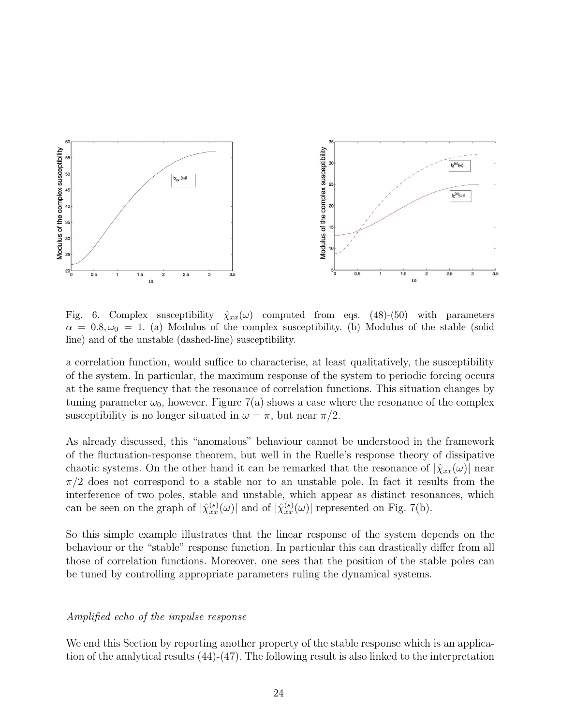

Fig. 6. Complex susceptibility  $\hat{\chi}_{xx}(\omega)$  computed from eqs. (48)-(50) with parameters  $\alpha = 0.8, \omega_0 = 1.$  (a) Modulus of the complex susceptibility. (b) Modulus of the stable (solid line) and of the unstable (dashed-line) susceptibility.

a correlation function, would suffice to characterise, at least qualitatively, the susceptibility of the system. In particular, the maximum response of the system to periodic forcing occurs at the same frequency that the resonance of correlation functions. This situation changes by tuning parameter  $\omega_0$ , however. Figure 7(a) shows a case where the resonance of the complex susceptibility is no longer situated in  $\omega = \pi$ , but near  $\pi/2$ .

As already discussed, this "anomalous" behaviour cannot be understood in the framework of the fluctuation-response theorem, but well in the Ruelle's response theory of dissipative chaotic systems. On the other hand it can be remarked that the resonance of  $|\hat{\chi}_{xx}(\omega)|$  near  $\pi/2$  does not correspond to a stable nor to an unstable pole. In fact it results from the interference of two poles, stable and unstable, which appear as distinct resonances, which can be seen on the graph of  $|\hat{\chi}_{xx}^{(s)}(\omega)|$  and of  $|\hat{\chi}_{xx}^{(s)}(\omega)|$  represented on Fig. 7(b).

So this simple example illustrates that the linear response of the system depends on the behaviour or the "stable" response function. In particular this can drastically differ from all those of correlation functions. Moreover, one sees that the position of the stable poles can be tuned by controlling appropriate parameters ruling the dynamical systems.

# Amplified echo of the impulse response

We end this Section by reporting another property of the stable response which is an application of the analytical results (44)-(47). The following result is also linked to the interpretation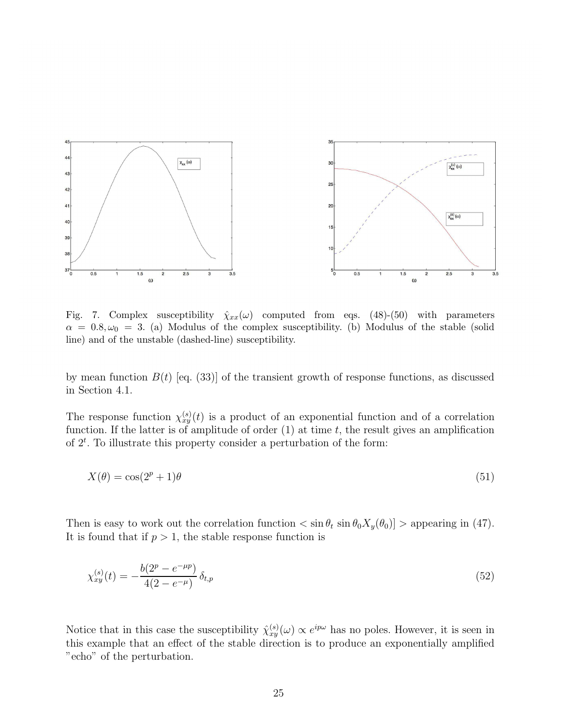

Fig. 7. Complex susceptibility  $\hat{\chi}_{xx}(\omega)$  computed from eqs. (48)-(50) with parameters  $\alpha = 0.8, \omega_0 = 3.$  (a) Modulus of the complex susceptibility. (b) Modulus of the stable (solid line) and of the unstable (dashed-line) susceptibility.

by mean function  $B(t)$  [eq. (33)] of the transient growth of response functions, as discussed in Section 4.1.

The response function  $\chi_{xy}^{(s)}(t)$  is a product of an exponential function and of a correlation function. If the latter is of amplitude of order  $(1)$  at time t, the result gives an amplification of  $2<sup>t</sup>$ . To illustrate this property consider a perturbation of the form:

$$
X(\theta) = \cos(2^p + 1)\theta \tag{51}
$$

Then is easy to work out the correlation function  $\langle \sin \theta_t \sin \theta_0 X_y(\theta_0) \rangle$  > appearing in (47). It is found that if  $p > 1$ , the stable response function is

$$
\chi_{xy}^{(s)}(t) = -\frac{b(2^p - e^{-\mu p})}{4(2 - e^{-\mu})} \delta_{t,p} \tag{52}
$$

Notice that in this case the susceptibility  $\hat{\chi}_{xy}^{(s)}(\omega) \propto e^{ip\omega}$  has no poles. However, it is seen in this example that an effect of the stable direction is to produce an exponentially amplified "echo" of the perturbation.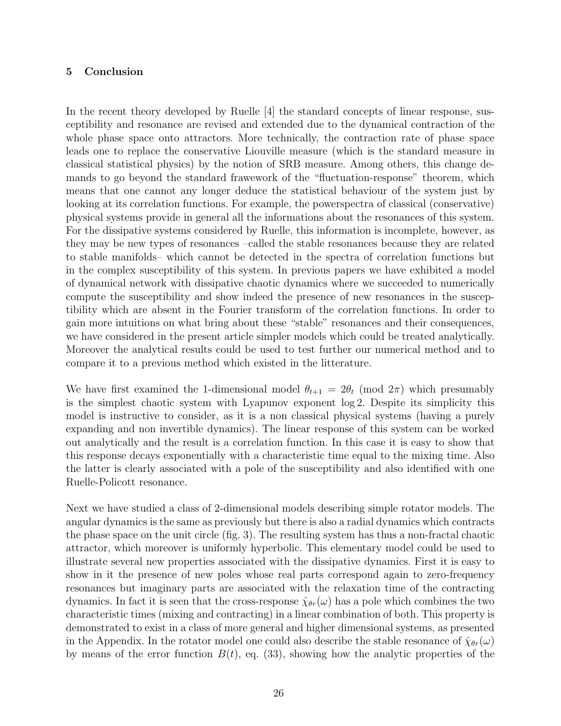# 5 Conclusion

In the recent theory developed by Ruelle [4] the standard concepts of linear response, susceptibility and resonance are revised and extended due to the dynamical contraction of the whole phase space onto attractors. More technically, the contraction rate of phase space leads one to replace the conservative Liouville measure (which is the standard measure in classical statistical physics) by the notion of SRB measure. Among others, this change demands to go beyond the standard frawework of the "fluctuation-response" theorem, which means that one cannot any longer deduce the statistical behaviour of the system just by looking at its correlation functions. For example, the powerspectra of classical (conservative) physical systems provide in general all the informations about the resonances of this system. For the dissipative systems considered by Ruelle, this information is incomplete, however, as they may be new types of resonances –called the stable resonances because they are related to stable manifolds– which cannot be detected in the spectra of correlation functions but in the complex susceptibility of this system. In previous papers we have exhibited a model of dynamical network with dissipative chaotic dynamics where we succeeded to numerically compute the susceptibility and show indeed the presence of new resonances in the susceptibility which are absent in the Fourier transform of the correlation functions. In order to gain more intuitions on what bring about these "stable" resonances and their consequences, we have considered in the present article simpler models which could be treated analytically. Moreover the analytical results could be used to test further our numerical method and to compare it to a previous method which existed in the litterature.

We have first examined the 1-dimensional model  $\theta_{t+1} = 2\theta_t \pmod{2\pi}$  which presumably is the simplest chaotic system with Lyapunov exponent log 2. Despite its simplicity this model is instructive to consider, as it is a non classical physical systems (having a purely expanding and non invertible dynamics). The linear response of this system can be worked out analytically and the result is a correlation function. In this case it is easy to show that this response decays exponentially with a characteristic time equal to the mixing time. Also the latter is clearly associated with a pole of the susceptibility and also identified with one Ruelle-Policott resonance.

Next we have studied a class of 2-dimensional models describing simple rotator models. The angular dynamics is the same as previously but there is also a radial dynamics which contracts the phase space on the unit circle (fig. 3). The resulting system has thus a non-fractal chaotic attractor, which moreover is uniformly hyperbolic. This elementary model could be used to illustrate several new properties associated with the dissipative dynamics. First it is easy to show in it the presence of new poles whose real parts correspond again to zero-frequency resonances but imaginary parts are associated with the relaxation time of the contracting dynamics. In fact it is seen that the cross-response  $\hat{\chi}_{\theta r}(\omega)$  has a pole which combines the two characteristic times (mixing and contracting) in a linear combination of both. This property is demonstrated to exist in a class of more general and higher dimensional systems, as presented in the Appendix. In the rotator model one could also describe the stable resonance of  $\hat{\chi}_{\theta r}(\omega)$ by means of the error function  $B(t)$ , eq. (33), showing how the analytic properties of the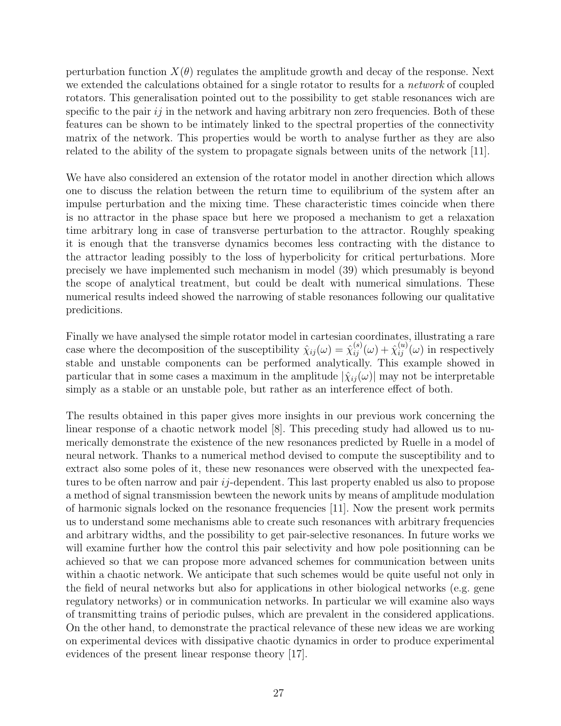perturbation function  $X(\theta)$  regulates the amplitude growth and decay of the response. Next we extended the calculations obtained for a single rotator to results for a network of coupled rotators. This generalisation pointed out to the possibility to get stable resonances wich are specific to the pair  $ij$  in the network and having arbitrary non zero frequencies. Both of these features can be shown to be intimately linked to the spectral properties of the connectivity matrix of the network. This properties would be worth to analyse further as they are also related to the ability of the system to propagate signals between units of the network [11].

We have also considered an extension of the rotator model in another direction which allows one to discuss the relation between the return time to equilibrium of the system after an impulse perturbation and the mixing time. These characteristic times coincide when there is no attractor in the phase space but here we proposed a mechanism to get a relaxation time arbitrary long in case of transverse perturbation to the attractor. Roughly speaking it is enough that the transverse dynamics becomes less contracting with the distance to the attractor leading possibly to the loss of hyperbolicity for critical perturbations. More precisely we have implemented such mechanism in model (39) which presumably is beyond the scope of analytical treatment, but could be dealt with numerical simulations. These numerical results indeed showed the narrowing of stable resonances following our qualitative predicitions.

Finally we have analysed the simple rotator model in cartesian coordinates, illustrating a rare case where the decomposition of the susceptibility  $\hat{\chi}_{ij}(\omega) = \hat{\chi}_{ij}^{(s)}(\omega) + \hat{\chi}_{ij}^{(u)}(\omega)$  in respectively stable and unstable components can be performed analytically. This example showed in particular that in some cases a maximum in the amplitude  $|\hat{\chi}_{ij}(\omega)|$  may not be interpretable simply as a stable or an unstable pole, but rather as an interference effect of both.

The results obtained in this paper gives more insights in our previous work concerning the linear response of a chaotic network model [8]. This preceding study had allowed us to numerically demonstrate the existence of the new resonances predicted by Ruelle in a model of neural network. Thanks to a numerical method devised to compute the susceptibility and to extract also some poles of it, these new resonances were observed with the unexpected features to be often narrow and pair *i*<sub>j</sub>-dependent. This last property enabled us also to propose a method of signal transmission bewteen the nework units by means of amplitude modulation of harmonic signals locked on the resonance frequencies [11]. Now the present work permits us to understand some mechanisms able to create such resonances with arbitrary frequencies and arbitrary widths, and the possibility to get pair-selective resonances. In future works we will examine further how the control this pair selectivity and how pole positionning can be achieved so that we can propose more advanced schemes for communication between units within a chaotic network. We anticipate that such schemes would be quite useful not only in the field of neural networks but also for applications in other biological networks (e.g. gene regulatory networks) or in communication networks. In particular we will examine also ways of transmitting trains of periodic pulses, which are prevalent in the considered applications. On the other hand, to demonstrate the practical relevance of these new ideas we are working on experimental devices with dissipative chaotic dynamics in order to produce experimental evidences of the present linear response theory [17].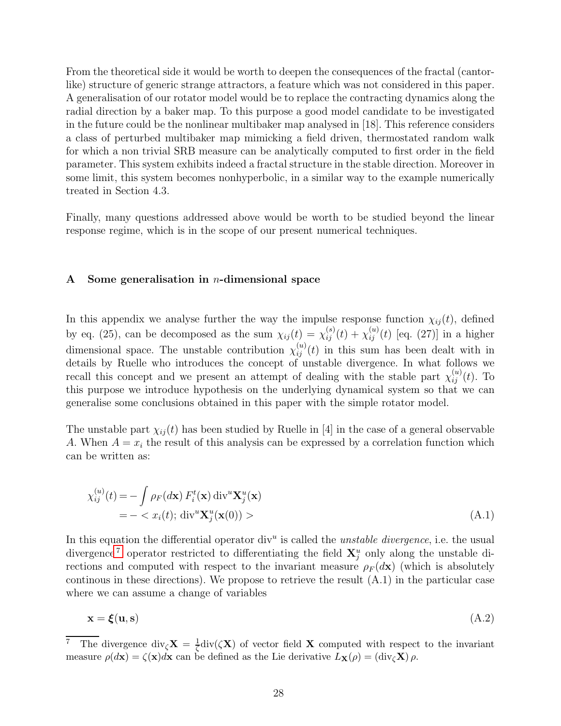From the theoretical side it would be worth to deepen the consequences of the fractal (cantorlike) structure of generic strange attractors, a feature which was not considered in this paper. A generalisation of our rotator model would be to replace the contracting dynamics along the radial direction by a baker map. To this purpose a good model candidate to be investigated in the future could be the nonlinear multibaker map analysed in [18]. This reference considers a class of perturbed multibaker map mimicking a field driven, thermostated random walk for which a non trivial SRB measure can be analytically computed to first order in the field parameter. This system exhibits indeed a fractal structure in the stable direction. Moreover in some limit, this system becomes nonhyperbolic, in a similar way to the example numerically treated in Section 4.3.

Finally, many questions addressed above would be worth to be studied beyond the linear response regime, which is in the scope of our present numerical techniques.

# A Some generalisation in *n*-dimensional space

In this appendix we analyse further the way the impulse response function  $\chi_{ij}(t)$ , defined by eq. (25), can be decomposed as the sum  $\chi_{ij}(t) = \chi_{ij}^{(s)}(t) + \chi_{ij}^{(u)}(t)$  [eq. (27)] in a higher dimensional space. The unstable contribution  $\chi_{ij}^{(u)}(t)$  in this sum has been dealt with in details by Ruelle who introduces the concept of unstable divergence. In what follows we recall this concept and we present an attempt of dealing with the stable part  $\chi_{ij}^{(u)}(t)$ . To this purpose we introduce hypothesis on the underlying dynamical system so that we can generalise some conclusions obtained in this paper with the simple rotator model.

The unstable part  $\chi_{ij}(t)$  has been studied by Ruelle in [4] in the case of a general observable A. When  $A = x_i$  the result of this analysis can be expressed by a correlation function which can be written as:

$$
\chi_{ij}^{(u)}(t) = -\int \rho_F(d\mathbf{x}) F_i^t(\mathbf{x}) \operatorname{div}^u \mathbf{X}_j^u(\mathbf{x})
$$
  
= -  $x_i(t)$ ;  $\operatorname{div}^u \mathbf{X}_j^u(\mathbf{x}(0)) >$  (A.1)

In this equation the differential operator div<sup>u</sup> is called the *unstable divergence*, i.e. the usual divergence<sup>[7](#page-27-0)</sup> operator restricted to differentiating the field  $X_j^u$  only along the unstable directions and computed with respect to the invariant measure  $\rho_F(d\mathbf{x})$  (which is absolutely continous in these directions). We propose to retrieve the result (A.1) in the particular case where we can assume a change of variables

$$
\mathbf{x} = \boldsymbol{\xi}(\mathbf{u}, \mathbf{s}) \tag{A.2}
$$

<span id="page-27-0"></span><sup>&</sup>lt;sup>7</sup> The divergence div<sub> $\zeta$ </sub>**X** =  $\frac{1}{\zeta}$ div( $\zeta$ **X**) of vector field **X** computed with respect to the invariant measure  $\rho(d\mathbf{x}) = \zeta(\mathbf{x})d\mathbf{x}$  can be defined as the Lie derivative  $L_{\mathbf{X}}(\rho) = (\text{div}_{\zeta} \mathbf{X}) \rho$ .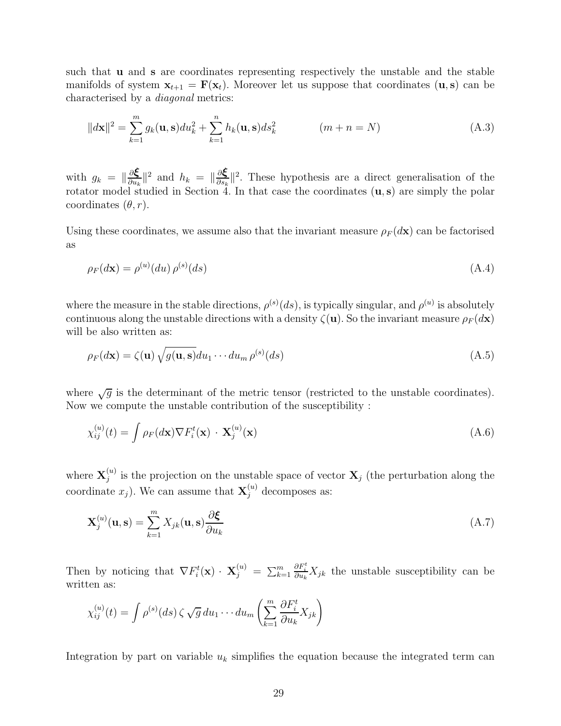such that u and s are coordinates representing respectively the unstable and the stable manifolds of system  $\mathbf{x}_{t+1} = \mathbf{F}(\mathbf{x}_t)$ . Moreover let us suppose that coordinates  $(\mathbf{u}, \mathbf{s})$  can be characterised by a diagonal metrics:

$$
||d\mathbf{x}||^2 = \sum_{k=1}^{m} g_k(\mathbf{u}, \mathbf{s}) du_k^2 + \sum_{k=1}^{n} h_k(\mathbf{u}, \mathbf{s}) ds_k^2 \qquad (m+n=N)
$$
 (A.3)

with  $g_k = \|\frac{\partial \boldsymbol{\xi}}{\partial u_k}\|$  $\frac{\partial \boldsymbol{\xi}}{\partial u_k}$ ||<sup>2</sup> and  $h_k = \|\frac{\partial \boldsymbol{\xi}}{\partial s_k}$  $\frac{\partial \mathbf{\xi}}{\partial s_k}$ ||<sup>2</sup>. These hypothesis are a direct generalisation of the rotator model studied in Section 4. In that case the coordinates  $(u, s)$  are simply the polar coordinates  $(\theta, r)$ .

Using these coordinates, we assume also that the invariant measure  $\rho_F(d\mathbf{x})$  can be factorised as

$$
\rho_F(d\mathbf{x}) = \rho^{(u)}(du)\,\rho^{(s)}(ds) \tag{A.4}
$$

where the measure in the stable directions,  $\rho^{(s)}(ds)$ , is typically singular, and  $\rho^{(u)}$  is absolutely continuous along the unstable directions with a density  $\zeta(\mathbf{u})$ . So the invariant measure  $\rho_F(d\mathbf{x})$ will be also written as:

$$
\rho_F(d\mathbf{x}) = \zeta(\mathbf{u}) \sqrt{g(\mathbf{u}, \mathbf{s})} du_1 \cdots du_m \rho^{(s)}(ds)
$$
\n(A.5)

where  $\sqrt{g}$  is the determinant of the metric tensor (restricted to the unstable coordinates). Now we compute the unstable contribution of the susceptibility :

$$
\chi_{ij}^{(u)}(t) = \int \rho_F(d\mathbf{x}) \nabla F_i^t(\mathbf{x}) \cdot \mathbf{X}_j^{(u)}(\mathbf{x}) \tag{A.6}
$$

where  $\mathbf{X}_i^{(u)}$  $j^{(u)}_j$  is the projection on the unstable space of vector  $\mathbf{X}_j$  (the perturbation along the coordinate  $x_j$ ). We can assume that  $\mathbf{X}_j^{(u)}$  decomposes as:

$$
\mathbf{X}_{j}^{(u)}(\mathbf{u}, \mathbf{s}) = \sum_{k=1}^{m} X_{jk}(\mathbf{u}, \mathbf{s}) \frac{\partial \boldsymbol{\xi}}{\partial u_{k}}
$$
(A.7)

Then by noticing that  $\nabla F_i^t(\mathbf{x}) \cdot \mathbf{X}_j^{(u)} = \sum_{k=1}^m$  $\frac{\partial F_i^t}{\partial u_k} X_{jk}$  the unstable susceptibility can be written as:

$$
\chi_{ij}^{(u)}(t) = \int \rho^{(s)}(ds) \zeta \sqrt{g} \, du_1 \cdots du_m \left( \sum_{k=1}^m \frac{\partial F_i^t}{\partial u_k} X_{jk} \right)
$$

Integration by part on variable  $u_k$  simplifies the equation because the integrated term can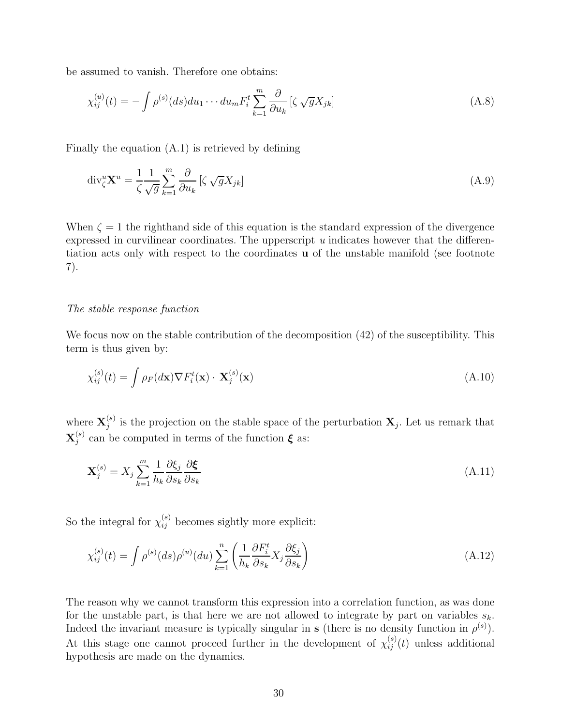be assumed to vanish. Therefore one obtains:

$$
\chi_{ij}^{(u)}(t) = -\int \rho^{(s)}(ds) du_1 \cdots du_m F_i^t \sum_{k=1}^m \frac{\partial}{\partial u_k} \left[ \zeta \sqrt{g} X_{jk} \right]
$$
\n(A.8)

Finally the equation (A.1) is retrieved by defining

$$
\operatorname{div}_{\zeta}^u \mathbf{X}^u = \frac{1}{\zeta} \frac{1}{\sqrt{g}} \sum_{k=1}^m \frac{\partial}{\partial u_k} \left[ \zeta \sqrt{g} X_{jk} \right] \tag{A.9}
$$

When  $\zeta = 1$  the righthand side of this equation is the standard expression of the divergence expressed in curvilinear coordinates. The upperscript u indicates however that the differentiation acts only with respect to the coordinates u of the unstable manifold (see footnote 7).

# The stable response function

We focus now on the stable contribution of the decomposition  $(42)$  of the susceptibility. This term is thus given by:

$$
\chi_{ij}^{(s)}(t) = \int \rho_F(d\mathbf{x}) \nabla F_i^t(\mathbf{x}) \cdot \mathbf{X}_j^{(s)}(\mathbf{x})
$$
\n(A.10)

where  $\mathbf{X}_i^{(s)}$  $j_j^{(s)}$  is the projection on the stable space of the perturbation  $\mathbf{X}_j$ . Let us remark that  $\mathbf{X}^{(s)}_i$  $j^{(s)}$  can be computed in terms of the function  $\xi$  as:

$$
\mathbf{X}_{j}^{(s)} = X_{j} \sum_{k=1}^{m} \frac{1}{h_{k}} \frac{\partial \xi_{j}}{\partial s_{k}} \frac{\partial \xi}{\partial s_{k}}
$$
(A.11)

So the integral for  $\chi_{ij}^{(s)}$  becomes sightly more explicit:

$$
\chi_{ij}^{(s)}(t) = \int \rho^{(s)}(ds)\rho^{(u)}(du) \sum_{k=1}^{n} \left( \frac{1}{h_k} \frac{\partial F_i^t}{\partial s_k} X_j \frac{\partial \xi_j}{\partial s_k} \right) \tag{A.12}
$$

The reason why we cannot transform this expression into a correlation function, as was done for the unstable part, is that here we are not allowed to integrate by part on variables  $s_k$ . Indeed the invariant measure is typically singular in s (there is no density function in  $\rho^{(s)}$ ). At this stage one cannot proceed further in the development of  $\chi_{ij}^{(s)}(t)$  unless additional hypothesis are made on the dynamics.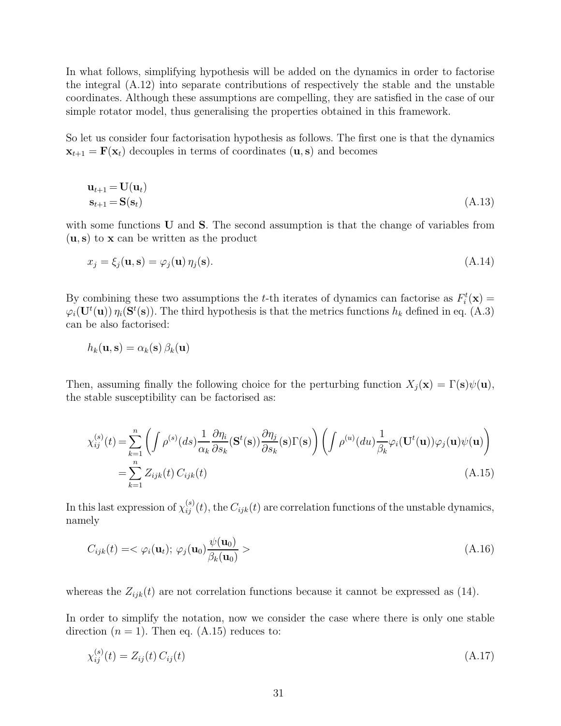In what follows, simplifying hypothesis will be added on the dynamics in order to factorise the integral (A.12) into separate contributions of respectively the stable and the unstable coordinates. Although these assumptions are compelling, they are satisfied in the case of our simple rotator model, thus generalising the properties obtained in this framework.

So let us consider four factorisation hypothesis as follows. The first one is that the dynamics  $\mathbf{x}_{t+1} = \mathbf{F}(\mathbf{x}_t)$  decouples in terms of coordinates  $(\mathbf{u}, \mathbf{s})$  and becomes

$$
\mathbf{u}_{t+1} = \mathbf{U}(\mathbf{u}_t)
$$
  
\n
$$
\mathbf{s}_{t+1} = \mathbf{S}(\mathbf{s}_t)
$$
\n(A.13)

with some functions **U** and **S**. The second assumption is that the change of variables from  $(u, s)$  to x can be written as the product

$$
x_j = \xi_j(\mathbf{u}, \mathbf{s}) = \varphi_j(\mathbf{u}) \eta_j(\mathbf{s}). \tag{A.14}
$$

By combining these two assumptions the t-th iterates of dynamics can factorise as  $F_i^t(\mathbf{x}) =$  $\varphi_i(\mathbf{U}^t(\mathbf{u}))\eta_i(\mathbf{S}^t(\mathbf{s}))$ . The third hypothesis is that the metrics functions  $h_k$  defined in eq. (A.3) can be also factorised:

$$
h_k(\mathbf{u}, \mathbf{s}) = \alpha_k(\mathbf{s}) \, \beta_k(\mathbf{u})
$$

Then, assuming finally the following choice for the perturbing function  $X_j(\mathbf{x}) = \Gamma(\mathbf{s})\psi(\mathbf{u}),$ the stable susceptibility can be factorised as:

$$
\chi_{ij}^{(s)}(t) = \sum_{k=1}^{n} \left( \int \rho^{(s)}(ds) \frac{1}{\alpha_k} \frac{\partial \eta_i}{\partial s_k} (\mathbf{S}^t(\mathbf{s})) \frac{\partial \eta_j}{\partial s_k} (\mathbf{s}) \Gamma(\mathbf{s}) \right) \left( \int \rho^{(u)}(du) \frac{1}{\beta_k} \varphi_i(\mathbf{U}^t(\mathbf{u})) \varphi_j(\mathbf{u}) \psi(\mathbf{u}) \right)
$$
  
= 
$$
\sum_{k=1}^{n} Z_{ijk}(t) C_{ijk}(t)
$$
(A.15)

In this last expression of  $\chi_{ij}^{(s)}(t)$ , the  $C_{ijk}(t)$  are correlation functions of the unstable dynamics, namely

$$
C_{ijk}(t) = \langle \varphi_i(\mathbf{u}_t); \varphi_j(\mathbf{u}_0) \frac{\psi(\mathbf{u}_0)}{\beta_k(\mathbf{u}_0)} \rangle
$$
\n(A.16)

whereas the  $Z_{ijk}(t)$  are not correlation functions because it cannot be expressed as (14).

In order to simplify the notation, now we consider the case where there is only one stable direction  $(n = 1)$ . Then eq.  $(A.15)$  reduces to:

$$
\chi_{ij}^{(s)}(t) = Z_{ij}(t) C_{ij}(t) \tag{A.17}
$$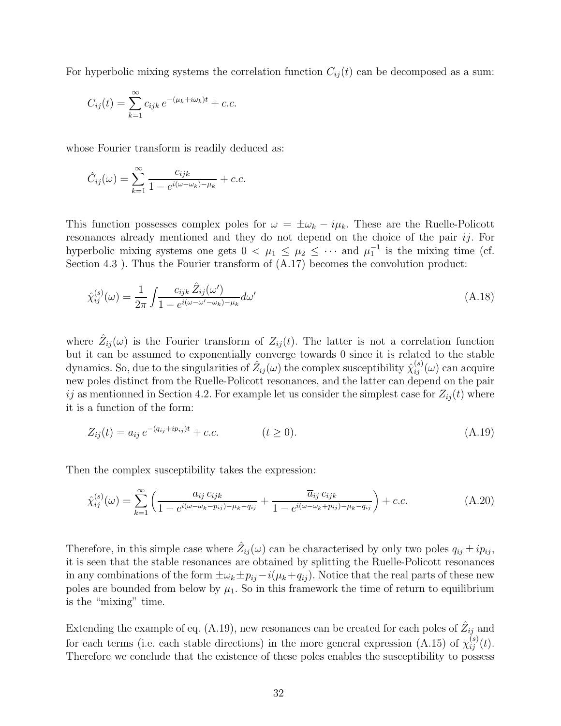For hyperbolic mixing systems the correlation function  $C_{ij}(t)$  can be decomposed as a sum:

$$
C_{ij}(t) = \sum_{k=1}^{\infty} c_{ijk} e^{-(\mu_k + i\omega_k)t} + c.c.
$$

whose Fourier transform is readily deduced as:

$$
\hat{C}_{ij}(\omega) = \sum_{k=1}^{\infty} \frac{c_{ijk}}{1 - e^{i(\omega - \omega_k) - \mu_k}} + c.c.
$$

This function possesses complex poles for  $\omega = \pm \omega_k - i\mu_k$ . These are the Ruelle-Policott resonances already mentioned and they do not depend on the choice of the pair *ij*. For hyperbolic mixing systems one gets  $0 < \mu_1 \leq \mu_2 \leq \cdots$  and  $\mu_1^{-1}$  is the mixing time (cf. Section 4.3 ). Thus the Fourier transform of  $(A.17)$  becomes the convolution product:

$$
\hat{\chi}_{ij}^{(s)}(\omega) = \frac{1}{2\pi} \int \frac{c_{ijk} \hat{Z}_{ij}(\omega')}{1 - e^{i(\omega - \omega' - \omega_k) - \mu_k}} d\omega'
$$
\n(A.18)

where  $\hat{Z}_{ij}(\omega)$  is the Fourier transform of  $Z_{ij}(t)$ . The latter is not a correlation function but it can be assumed to exponentially converge towards 0 since it is related to the stable dynamics. So, due to the singularities of  $\hat Z_{ij}(\omega)$  the complex susceptibility  $\hat \chi^{(s)}_{ij}(\omega)$  can acquire new poles distinct from the Ruelle-Policott resonances, and the latter can depend on the pair ij as mentionned in Section 4.2. For example let us consider the simplest case for  $Z_{ij}(t)$  where it is a function of the form:

$$
Z_{ij}(t) = a_{ij} e^{-(q_{ij} + ip_{ij})t} + c.c.
$$
 (A.19)

Then the complex susceptibility takes the expression:

$$
\hat{\chi}_{ij}^{(s)}(\omega) = \sum_{k=1}^{\infty} \left( \frac{a_{ij} c_{ijk}}{1 - e^{i(\omega - \omega_k - p_{ij}) - \mu_k - q_{ij}}} + \frac{\overline{a}_{ij} c_{ijk}}{1 - e^{i(\omega - \omega_k + p_{ij}) - \mu_k - q_{ij}}} \right) + c.c.
$$
\n(A.20)

Therefore, in this simple case where  $\hat{Z}_{ij}(\omega)$  can be characterised by only two poles  $q_{ij} \pm i p_{ij}$ , it is seen that the stable resonances are obtained by splitting the Ruelle-Policott resonances in any combinations of the form  $\pm \omega_k \pm p_{ij} - i(\mu_k + q_{ij})$ . Notice that the real parts of these new poles are bounded from below by  $\mu_1$ . So in this framework the time of return to equilibrium is the "mixing" time.

Extending the example of eq. (A.19), new resonances can be created for each poles of  $\hat{Z}_{ij}$  and for each terms (i.e. each stable directions) in the more general expression (A.15) of  $\chi_{ij}^{(s)}(t)$ . Therefore we conclude that the existence of these poles enables the susceptibility to possess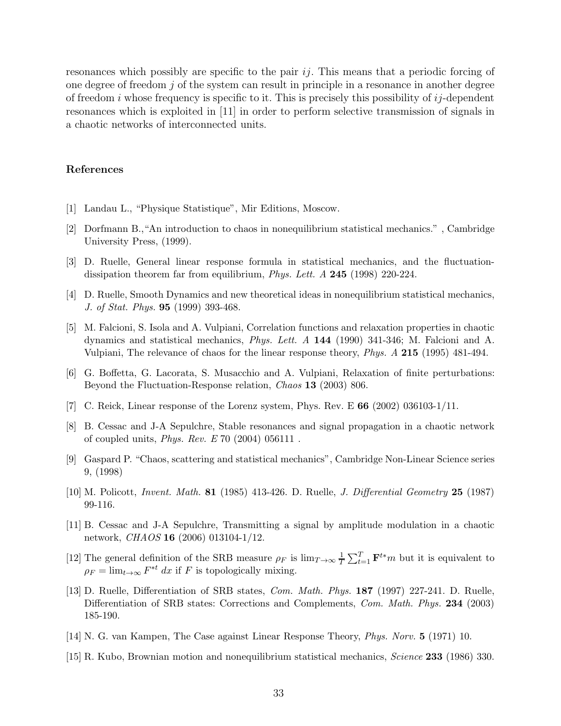resonances which possibly are specific to the pair  $i\dot{j}$ . This means that a periodic forcing of one degree of freedom  $j$  of the system can result in principle in a resonance in another degree of freedom i whose frequency is specific to it. This is precisely this possibility of  $ij$ -dependent resonances which is exploited in [11] in order to perform selective transmission of signals in a chaotic networks of interconnected units.

# References

- [1] Landau L., "Physique Statistique", Mir Editions, Moscow.
- [2] Dorfmann B.,"An introduction to chaos in nonequilibrium statistical mechanics." , Cambridge University Press, (1999).
- [3] D. Ruelle, General linear response formula in statistical mechanics, and the fluctuationdissipation theorem far from equilibrium, *Phys. Lett. A* 245 (1998) 220-224.
- [4] D. Ruelle, Smooth Dynamics and new theoretical ideas in nonequilibrium statistical mechanics, J. of Stat. Phys. 95 (1999) 393-468.
- [5] M. Falcioni, S. Isola and A. Vulpiani, Correlation functions and relaxation properties in chaotic dynamics and statistical mechanics, Phys. Lett. A 144 (1990) 341-346; M. Falcioni and A. Vulpiani, The relevance of chaos for the linear response theory, Phys. A 215 (1995) 481-494.
- [6] G. Boffetta, G. Lacorata, S. Musacchio and A. Vulpiani, Relaxation of finite perturbations: Beyond the Fluctuation-Response relation, Chaos 13 (2003) 806.
- [7] C. Reick, Linear response of the Lorenz system, Phys. Rev. E  $66$  (2002) 036103-1/11.
- [8] B. Cessac and J-A Sepulchre, Stable resonances and signal propagation in a chaotic network of coupled units, Phys. Rev. E 70 (2004) 056111 .
- [9] Gaspard P. "Chaos, scattering and statistical mechanics", Cambridge Non-Linear Science series 9, (1998)
- [10] M. Policott, Invent. Math. 81 (1985) 413-426. D. Ruelle, J. Differential Geometry 25 (1987) 99-116.
- [11] B. Cessac and J-A Sepulchre, Transmitting a signal by amplitude modulation in a chaotic network, *CHAOS* **16** (2006) 013104-1/12.
- [12] The general definition of the SRB measure  $\rho_F$  is  $\lim_{T\to\infty} \frac{1}{T}$  $\frac{1}{T} \sum_{t=1}^{T} \mathbf{F}^{t*} m$  but it is equivalent to  $\rho_F = \lim_{t \to \infty} F^{*t} dx$  if F is topologically mixing.
- [13] D. Ruelle, Differentiation of SRB states, Com. Math. Phys. 187 (1997) 227-241. D. Ruelle, Differentiation of SRB states: Corrections and Complements, Com. Math. Phys. 234 (2003) 185-190.
- [14] N. G. van Kampen, The Case against Linear Response Theory, Phys. Norv. 5 (1971) 10.
- [15] R. Kubo, Brownian motion and nonequilibrium statistical mechanics, Science 233 (1986) 330.